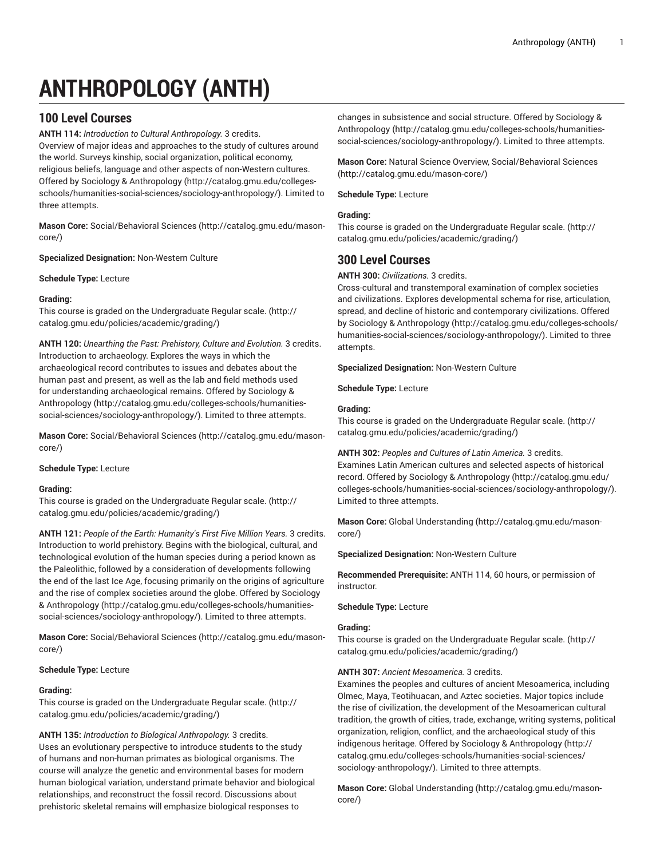# **ANTHROPOLOGY (ANTH)**

# **100 Level Courses**

**ANTH 114:** *Introduction to Cultural Anthropology.* 3 credits. Overview of major ideas and approaches to the study of cultures around the world. Surveys kinship, social organization, political economy, religious beliefs, language and other aspects of non-Western cultures. Offered by Sociology & [Anthropology \(http://catalog.gmu.edu/colleges](http://catalog.gmu.edu/colleges-schools/humanities-social-sciences/sociology-anthropology/)[schools/humanities-social-sciences/sociology-anthropology/](http://catalog.gmu.edu/colleges-schools/humanities-social-sciences/sociology-anthropology/)). Limited to three attempts.

**Mason Core:** [Social/Behavioral](http://catalog.gmu.edu/mason-core/) Sciences ([http://catalog.gmu.edu/mason](http://catalog.gmu.edu/mason-core/)[core/\)](http://catalog.gmu.edu/mason-core/)

**Specialized Designation:** Non-Western Culture

**Schedule Type:** Lecture

## **Grading:**

This course is graded on the [Undergraduate](http://catalog.gmu.edu/policies/academic/grading/) Regular scale. ([http://](http://catalog.gmu.edu/policies/academic/grading/) [catalog.gmu.edu/policies/academic/grading/\)](http://catalog.gmu.edu/policies/academic/grading/)

**ANTH 120:** *Unearthing the Past: Prehistory, Culture and Evolution.* 3 credits. Introduction to archaeology. Explores the ways in which the archaeological record contributes to issues and debates about the human past and present, as well as the lab and field methods used for understanding archaeological remains. Offered by [Sociology &](http://catalog.gmu.edu/colleges-schools/humanities-social-sciences/sociology-anthropology/) [Anthropology](http://catalog.gmu.edu/colleges-schools/humanities-social-sciences/sociology-anthropology/) [\(http://catalog.gmu.edu/colleges-schools/humanities](http://catalog.gmu.edu/colleges-schools/humanities-social-sciences/sociology-anthropology/)[social-sciences/sociology-anthropology/](http://catalog.gmu.edu/colleges-schools/humanities-social-sciences/sociology-anthropology/)). Limited to three attempts.

**Mason Core:** [Social/Behavioral](http://catalog.gmu.edu/mason-core/) Sciences ([http://catalog.gmu.edu/mason](http://catalog.gmu.edu/mason-core/)[core/\)](http://catalog.gmu.edu/mason-core/)

## **Schedule Type:** Lecture

## **Grading:**

This course is graded on the [Undergraduate](http://catalog.gmu.edu/policies/academic/grading/) Regular scale. ([http://](http://catalog.gmu.edu/policies/academic/grading/) [catalog.gmu.edu/policies/academic/grading/\)](http://catalog.gmu.edu/policies/academic/grading/)

**ANTH 121:** *People of the Earth: Humanity's First Five Million Years.* 3 credits. Introduction to world prehistory. Begins with the biological, cultural, and technological evolution of the human species during a period known as the Paleolithic, followed by a consideration of developments following the end of the last Ice Age, focusing primarily on the origins of agriculture and the rise of complex societies around the globe. Offered by [Sociology](http://catalog.gmu.edu/colleges-schools/humanities-social-sciences/sociology-anthropology/) & [Anthropology](http://catalog.gmu.edu/colleges-schools/humanities-social-sciences/sociology-anthropology/) [\(http://catalog.gmu.edu/colleges-schools/humanities](http://catalog.gmu.edu/colleges-schools/humanities-social-sciences/sociology-anthropology/)[social-sciences/sociology-anthropology/](http://catalog.gmu.edu/colleges-schools/humanities-social-sciences/sociology-anthropology/)). Limited to three attempts.

**Mason Core:** [Social/Behavioral](http://catalog.gmu.edu/mason-core/) Sciences ([http://catalog.gmu.edu/mason](http://catalog.gmu.edu/mason-core/)[core/\)](http://catalog.gmu.edu/mason-core/)

## **Schedule Type:** Lecture

## **Grading:**

This course is graded on the [Undergraduate](http://catalog.gmu.edu/policies/academic/grading/) Regular scale. ([http://](http://catalog.gmu.edu/policies/academic/grading/) [catalog.gmu.edu/policies/academic/grading/\)](http://catalog.gmu.edu/policies/academic/grading/)

**ANTH 135:** *Introduction to Biological Anthropology.* 3 credits. Uses an evolutionary perspective to introduce students to the study of humans and non-human primates as biological organisms. The course will analyze the genetic and environmental bases for modern human biological variation, understand primate behavior and biological relationships, and reconstruct the fossil record. Discussions about prehistoric skeletal remains will emphasize biological responses to

changes in subsistence and social structure. Offered by [Sociology &](http://catalog.gmu.edu/colleges-schools/humanities-social-sciences/sociology-anthropology/) [Anthropology \(http://catalog.gmu.edu/colleges-schools/humanities](http://catalog.gmu.edu/colleges-schools/humanities-social-sciences/sociology-anthropology/)[social-sciences/sociology-anthropology/\)](http://catalog.gmu.edu/colleges-schools/humanities-social-sciences/sociology-anthropology/). Limited to three attempts.

**Mason Core:** Natural Science Overview, [Social/Behavioral](http://catalog.gmu.edu/mason-core/) Sciences [\(http://catalog.gmu.edu/mason-core/](http://catalog.gmu.edu/mason-core/))

**Schedule Type:** Lecture

## **Grading:**

This course is graded on the [Undergraduate](http://catalog.gmu.edu/policies/academic/grading/) Regular scale. ([http://](http://catalog.gmu.edu/policies/academic/grading/) [catalog.gmu.edu/policies/academic/grading/](http://catalog.gmu.edu/policies/academic/grading/))

# **300 Level Courses**

**ANTH 300:** *Civilizations.* 3 credits.

Cross-cultural and transtemporal examination of complex societies and civilizations. Explores developmental schema for rise, articulation, spread, and decline of historic and contemporary civilizations. Offered by Sociology & [Anthropology \(http://catalog.gmu.edu/colleges-schools/](http://catalog.gmu.edu/colleges-schools/humanities-social-sciences/sociology-anthropology/) [humanities-social-sciences/sociology-anthropology/](http://catalog.gmu.edu/colleges-schools/humanities-social-sciences/sociology-anthropology/)). Limited to three attempts.

**Specialized Designation:** Non-Western Culture

**Schedule Type:** Lecture

## **Grading:**

This course is graded on the [Undergraduate](http://catalog.gmu.edu/policies/academic/grading/) Regular scale. ([http://](http://catalog.gmu.edu/policies/academic/grading/) [catalog.gmu.edu/policies/academic/grading/](http://catalog.gmu.edu/policies/academic/grading/))

**ANTH 302:** *Peoples and Cultures of Latin America.* 3 credits. Examines Latin American cultures and selected aspects of historical record. Offered by Sociology & [Anthropology](http://catalog.gmu.edu/colleges-schools/humanities-social-sciences/sociology-anthropology/) ([http://catalog.gmu.edu/](http://catalog.gmu.edu/colleges-schools/humanities-social-sciences/sociology-anthropology/) [colleges-schools/humanities-social-sciences/sociology-anthropology/\)](http://catalog.gmu.edu/colleges-schools/humanities-social-sciences/sociology-anthropology/). Limited to three attempts.

**Mason Core:** [Global Understanding \(http://catalog.gmu.edu/mason](http://catalog.gmu.edu/mason-core/)[core/](http://catalog.gmu.edu/mason-core/))

**Specialized Designation:** Non-Western Culture

**Recommended Prerequisite:** ANTH 114, 60 hours, or permission of instructor.

**Schedule Type:** Lecture

## **Grading:**

This course is graded on the [Undergraduate](http://catalog.gmu.edu/policies/academic/grading/) Regular scale. ([http://](http://catalog.gmu.edu/policies/academic/grading/) [catalog.gmu.edu/policies/academic/grading/](http://catalog.gmu.edu/policies/academic/grading/))

## **ANTH 307:** *Ancient Mesoamerica.* 3 credits.

Examines the peoples and cultures of ancient Mesoamerica, including Olmec, Maya, Teotihuacan, and Aztec societies. Major topics include the rise of civilization, the development of the Mesoamerican cultural tradition, the growth of cities, trade, exchange, writing systems, political organization, religion, conflict, and the archaeological study of this indigenous heritage. Offered by Sociology & [Anthropology](http://catalog.gmu.edu/colleges-schools/humanities-social-sciences/sociology-anthropology/) [\(http://](http://catalog.gmu.edu/colleges-schools/humanities-social-sciences/sociology-anthropology/) [catalog.gmu.edu/colleges-schools/humanities-social-sciences/](http://catalog.gmu.edu/colleges-schools/humanities-social-sciences/sociology-anthropology/) [sociology-anthropology/](http://catalog.gmu.edu/colleges-schools/humanities-social-sciences/sociology-anthropology/)). Limited to three attempts.

**Mason Core:** [Global Understanding \(http://catalog.gmu.edu/mason](http://catalog.gmu.edu/mason-core/)[core/](http://catalog.gmu.edu/mason-core/))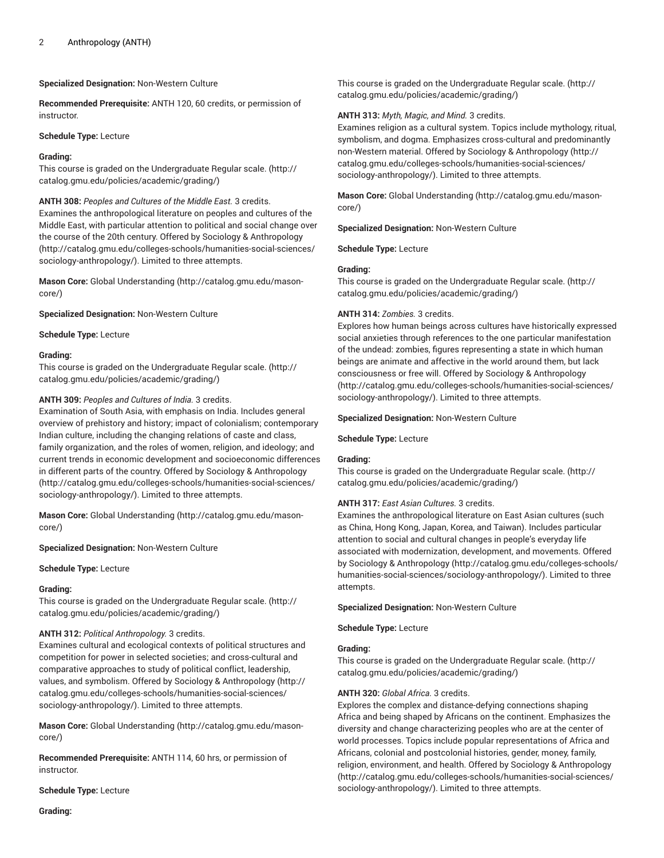## **Specialized Designation:** Non-Western Culture

**Recommended Prerequisite:** ANTH 120, 60 credits, or permission of instructor.

#### **Schedule Type:** Lecture

#### **Grading:**

This course is graded on the [Undergraduate](http://catalog.gmu.edu/policies/academic/grading/) Regular scale. ([http://](http://catalog.gmu.edu/policies/academic/grading/) [catalog.gmu.edu/policies/academic/grading/\)](http://catalog.gmu.edu/policies/academic/grading/)

**ANTH 308:** *Peoples and Cultures of the Middle East.* 3 credits. Examines the anthropological literature on peoples and cultures of the Middle East, with particular attention to political and social change over the course of the 20th century. Offered by Sociology & [Anthropology](http://catalog.gmu.edu/colleges-schools/humanities-social-sciences/sociology-anthropology/) ([http://catalog.gmu.edu/colleges-schools/humanities-social-sciences/](http://catalog.gmu.edu/colleges-schools/humanities-social-sciences/sociology-anthropology/) [sociology-anthropology/\)](http://catalog.gmu.edu/colleges-schools/humanities-social-sciences/sociology-anthropology/). Limited to three attempts.

**Mason Core:** [Global Understanding](http://catalog.gmu.edu/mason-core/) ([http://catalog.gmu.edu/mason](http://catalog.gmu.edu/mason-core/)[core/\)](http://catalog.gmu.edu/mason-core/)

**Specialized Designation:** Non-Western Culture

**Schedule Type:** Lecture

#### **Grading:**

This course is graded on the [Undergraduate](http://catalog.gmu.edu/policies/academic/grading/) Regular scale. ([http://](http://catalog.gmu.edu/policies/academic/grading/) [catalog.gmu.edu/policies/academic/grading/\)](http://catalog.gmu.edu/policies/academic/grading/)

#### **ANTH 309:** *Peoples and Cultures of India.* 3 credits.

Examination of South Asia, with emphasis on India. Includes general overview of prehistory and history; impact of colonialism; contemporary Indian culture, including the changing relations of caste and class, family organization, and the roles of women, religion, and ideology; and current trends in economic development and socioeconomic differences in different parts of the country. Offered by Sociology & [Anthropology](http://catalog.gmu.edu/colleges-schools/humanities-social-sciences/sociology-anthropology/) ([http://catalog.gmu.edu/colleges-schools/humanities-social-sciences/](http://catalog.gmu.edu/colleges-schools/humanities-social-sciences/sociology-anthropology/) [sociology-anthropology/\)](http://catalog.gmu.edu/colleges-schools/humanities-social-sciences/sociology-anthropology/). Limited to three attempts.

**Mason Core:** [Global Understanding](http://catalog.gmu.edu/mason-core/) ([http://catalog.gmu.edu/mason](http://catalog.gmu.edu/mason-core/)[core/\)](http://catalog.gmu.edu/mason-core/)

**Specialized Designation:** Non-Western Culture

**Schedule Type:** Lecture

## **Grading:**

This course is graded on the [Undergraduate](http://catalog.gmu.edu/policies/academic/grading/) Regular scale. ([http://](http://catalog.gmu.edu/policies/academic/grading/) [catalog.gmu.edu/policies/academic/grading/\)](http://catalog.gmu.edu/policies/academic/grading/)

#### **ANTH 312:** *Political Anthropology.* 3 credits.

Examines cultural and ecological contexts of political structures and competition for power in selected societies; and cross-cultural and comparative approaches to study of political conflict, leadership, values, and symbolism. Offered by Sociology & [Anthropology \(http://](http://catalog.gmu.edu/colleges-schools/humanities-social-sciences/sociology-anthropology/) [catalog.gmu.edu/colleges-schools/humanities-social-sciences/](http://catalog.gmu.edu/colleges-schools/humanities-social-sciences/sociology-anthropology/) [sociology-anthropology/\)](http://catalog.gmu.edu/colleges-schools/humanities-social-sciences/sociology-anthropology/). Limited to three attempts.

**Mason Core:** [Global Understanding](http://catalog.gmu.edu/mason-core/) ([http://catalog.gmu.edu/mason](http://catalog.gmu.edu/mason-core/)[core/\)](http://catalog.gmu.edu/mason-core/)

**Recommended Prerequisite:** ANTH 114, 60 hrs, or permission of instructor.

**Schedule Type:** Lecture

**Grading:**

This course is graded on the [Undergraduate](http://catalog.gmu.edu/policies/academic/grading/) Regular scale. ([http://](http://catalog.gmu.edu/policies/academic/grading/) [catalog.gmu.edu/policies/academic/grading/](http://catalog.gmu.edu/policies/academic/grading/))

## **ANTH 313:** *Myth, Magic, and Mind.* 3 credits.

Examines religion as a cultural system. Topics include mythology, ritual, symbolism, and dogma. Emphasizes cross-cultural and predominantly non-Western material. Offered by Sociology & [Anthropology](http://catalog.gmu.edu/colleges-schools/humanities-social-sciences/sociology-anthropology/) ([http://](http://catalog.gmu.edu/colleges-schools/humanities-social-sciences/sociology-anthropology/) [catalog.gmu.edu/colleges-schools/humanities-social-sciences/](http://catalog.gmu.edu/colleges-schools/humanities-social-sciences/sociology-anthropology/) [sociology-anthropology/](http://catalog.gmu.edu/colleges-schools/humanities-social-sciences/sociology-anthropology/)). Limited to three attempts.

**Mason Core:** [Global Understanding \(http://catalog.gmu.edu/mason](http://catalog.gmu.edu/mason-core/)[core/](http://catalog.gmu.edu/mason-core/))

**Specialized Designation:** Non-Western Culture

**Schedule Type:** Lecture

#### **Grading:**

This course is graded on the [Undergraduate](http://catalog.gmu.edu/policies/academic/grading/) Regular scale. ([http://](http://catalog.gmu.edu/policies/academic/grading/) [catalog.gmu.edu/policies/academic/grading/](http://catalog.gmu.edu/policies/academic/grading/))

## **ANTH 314:** *Zombies.* 3 credits.

Explores how human beings across cultures have historically expressed social anxieties through references to the one particular manifestation of the undead: zombies, figures representing a state in which human beings are animate and affective in the world around them, but lack consciousness or free will. Offered by Sociology & [Anthropology](http://catalog.gmu.edu/colleges-schools/humanities-social-sciences/sociology-anthropology/) [\(http://catalog.gmu.edu/colleges-schools/humanities-social-sciences/](http://catalog.gmu.edu/colleges-schools/humanities-social-sciences/sociology-anthropology/) [sociology-anthropology/](http://catalog.gmu.edu/colleges-schools/humanities-social-sciences/sociology-anthropology/)). Limited to three attempts.

#### **Specialized Designation:** Non-Western Culture

#### **Schedule Type:** Lecture

#### **Grading:**

This course is graded on the [Undergraduate](http://catalog.gmu.edu/policies/academic/grading/) Regular scale. ([http://](http://catalog.gmu.edu/policies/academic/grading/) [catalog.gmu.edu/policies/academic/grading/](http://catalog.gmu.edu/policies/academic/grading/))

## **ANTH 317:** *East Asian Cultures.* 3 credits.

Examines the anthropological literature on East Asian cultures (such as China, Hong Kong, Japan, Korea, and Taiwan). Includes particular attention to social and cultural changes in people's everyday life associated with modernization, development, and movements. Offered by Sociology & [Anthropology \(http://catalog.gmu.edu/colleges-schools/](http://catalog.gmu.edu/colleges-schools/humanities-social-sciences/sociology-anthropology/) [humanities-social-sciences/sociology-anthropology/](http://catalog.gmu.edu/colleges-schools/humanities-social-sciences/sociology-anthropology/)). Limited to three attempts.

**Specialized Designation:** Non-Western Culture

**Schedule Type:** Lecture

## **Grading:**

This course is graded on the [Undergraduate](http://catalog.gmu.edu/policies/academic/grading/) Regular scale. ([http://](http://catalog.gmu.edu/policies/academic/grading/) [catalog.gmu.edu/policies/academic/grading/](http://catalog.gmu.edu/policies/academic/grading/))

#### **ANTH 320:** *Global Africa.* 3 credits.

Explores the complex and distance-defying connections shaping Africa and being shaped by Africans on the continent. Emphasizes the diversity and change characterizing peoples who are at the center of world processes. Topics include popular representations of Africa and Africans, colonial and postcolonial histories, gender, money, family, religion, environment, and health. Offered by Sociology & [Anthropology](http://catalog.gmu.edu/colleges-schools/humanities-social-sciences/sociology-anthropology/) [\(http://catalog.gmu.edu/colleges-schools/humanities-social-sciences/](http://catalog.gmu.edu/colleges-schools/humanities-social-sciences/sociology-anthropology/) [sociology-anthropology/](http://catalog.gmu.edu/colleges-schools/humanities-social-sciences/sociology-anthropology/)). Limited to three attempts.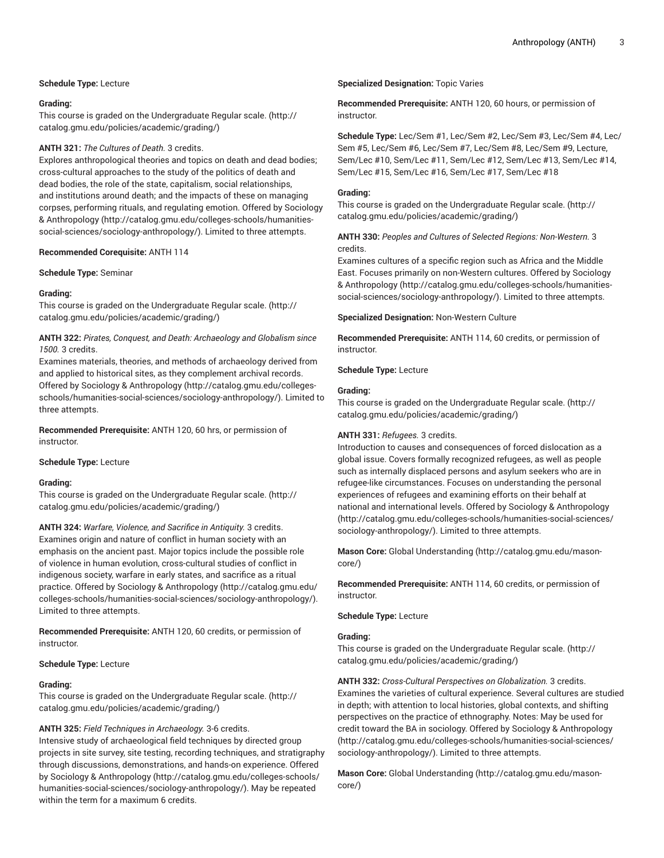## **Schedule Type:** Lecture

## **Grading:**

This course is graded on the [Undergraduate](http://catalog.gmu.edu/policies/academic/grading/) Regular scale. ([http://](http://catalog.gmu.edu/policies/academic/grading/) [catalog.gmu.edu/policies/academic/grading/\)](http://catalog.gmu.edu/policies/academic/grading/)

## **ANTH 321:** *The Cultures of Death.* 3 credits.

Explores anthropological theories and topics on death and dead bodies; cross-cultural approaches to the study of the politics of death and dead bodies, the role of the state, capitalism, social relationships, and institutions around death; and the impacts of these on managing corpses, performing rituals, and regulating emotion. Offered by [Sociology](http://catalog.gmu.edu/colleges-schools/humanities-social-sciences/sociology-anthropology/) & [Anthropology](http://catalog.gmu.edu/colleges-schools/humanities-social-sciences/sociology-anthropology/) [\(http://catalog.gmu.edu/colleges-schools/humanities](http://catalog.gmu.edu/colleges-schools/humanities-social-sciences/sociology-anthropology/)[social-sciences/sociology-anthropology/](http://catalog.gmu.edu/colleges-schools/humanities-social-sciences/sociology-anthropology/)). Limited to three attempts.

## **Recommended Corequisite:** ANTH 114

**Schedule Type:** Seminar

## **Grading:**

This course is graded on the [Undergraduate](http://catalog.gmu.edu/policies/academic/grading/) Regular scale. ([http://](http://catalog.gmu.edu/policies/academic/grading/) [catalog.gmu.edu/policies/academic/grading/\)](http://catalog.gmu.edu/policies/academic/grading/)

## **ANTH 322:** *Pirates, Conquest, and Death: Archaeology and Globalism since 1500.* 3 credits.

Examines materials, theories, and methods of archaeology derived from and applied to historical sites, as they complement archival records. Offered by Sociology & [Anthropology \(http://catalog.gmu.edu/colleges](http://catalog.gmu.edu/colleges-schools/humanities-social-sciences/sociology-anthropology/)[schools/humanities-social-sciences/sociology-anthropology/](http://catalog.gmu.edu/colleges-schools/humanities-social-sciences/sociology-anthropology/)). Limited to three attempts.

## **Recommended Prerequisite:** ANTH 120, 60 hrs, or permission of instructor.

## **Schedule Type:** Lecture

## **Grading:**

This course is graded on the [Undergraduate](http://catalog.gmu.edu/policies/academic/grading/) Regular scale. ([http://](http://catalog.gmu.edu/policies/academic/grading/) [catalog.gmu.edu/policies/academic/grading/\)](http://catalog.gmu.edu/policies/academic/grading/)

**ANTH 324:** *Warfare, Violence, and Sacrifice in Antiquity.* 3 credits. Examines origin and nature of conflict in human society with an emphasis on the ancient past. Major topics include the possible role of violence in human evolution, cross-cultural studies of conflict in indigenous society, warfare in early states, and sacrifice as a ritual practice. Offered by Sociology & [Anthropology](http://catalog.gmu.edu/colleges-schools/humanities-social-sciences/sociology-anthropology/) ([http://catalog.gmu.edu/](http://catalog.gmu.edu/colleges-schools/humanities-social-sciences/sociology-anthropology/) [colleges-schools/humanities-social-sciences/sociology-anthropology/\)](http://catalog.gmu.edu/colleges-schools/humanities-social-sciences/sociology-anthropology/). Limited to three attempts.

**Recommended Prerequisite:** ANTH 120, 60 credits, or permission of instructor.

## **Schedule Type:** Lecture

## **Grading:**

This course is graded on the [Undergraduate](http://catalog.gmu.edu/policies/academic/grading/) Regular scale. ([http://](http://catalog.gmu.edu/policies/academic/grading/) [catalog.gmu.edu/policies/academic/grading/\)](http://catalog.gmu.edu/policies/academic/grading/)

## **ANTH 325:** *Field Techniques in Archaeology.* 3-6 credits.

Intensive study of archaeological field techniques by directed group projects in site survey, site testing, recording techniques, and stratigraphy through discussions, demonstrations, and hands-on experience. Offered by Sociology & [Anthropology](http://catalog.gmu.edu/colleges-schools/humanities-social-sciences/sociology-anthropology/) ([http://catalog.gmu.edu/colleges-schools/](http://catalog.gmu.edu/colleges-schools/humanities-social-sciences/sociology-anthropology/) [humanities-social-sciences/sociology-anthropology/\)](http://catalog.gmu.edu/colleges-schools/humanities-social-sciences/sociology-anthropology/). May be repeated within the term for a maximum 6 credits.

## **Specialized Designation:** Topic Varies

**Recommended Prerequisite:** ANTH 120, 60 hours, or permission of instructor.

**Schedule Type:** Lec/Sem #1, Lec/Sem #2, Lec/Sem #3, Lec/Sem #4, Lec/ Sem #5, Lec/Sem #6, Lec/Sem #7, Lec/Sem #8, Lec/Sem #9, Lecture, Sem/Lec #10, Sem/Lec #11, Sem/Lec #12, Sem/Lec #13, Sem/Lec #14, Sem/Lec #15, Sem/Lec #16, Sem/Lec #17, Sem/Lec #18

## **Grading:**

This course is graded on the [Undergraduate](http://catalog.gmu.edu/policies/academic/grading/) Regular scale. ([http://](http://catalog.gmu.edu/policies/academic/grading/) [catalog.gmu.edu/policies/academic/grading/](http://catalog.gmu.edu/policies/academic/grading/))

## **ANTH 330:** *Peoples and Cultures of Selected Regions: Non-Western.* 3 credits.

Examines cultures of a specific region such as Africa and the Middle East. Focuses primarily on non-Western cultures. Offered by [Sociology](http://catalog.gmu.edu/colleges-schools/humanities-social-sciences/sociology-anthropology/) & [Anthropology \(http://catalog.gmu.edu/colleges-schools/humanities](http://catalog.gmu.edu/colleges-schools/humanities-social-sciences/sociology-anthropology/)[social-sciences/sociology-anthropology/\)](http://catalog.gmu.edu/colleges-schools/humanities-social-sciences/sociology-anthropology/). Limited to three attempts.

## **Specialized Designation:** Non-Western Culture

**Recommended Prerequisite:** ANTH 114, 60 credits, or permission of instructor.

**Schedule Type:** Lecture

#### **Grading:**

This course is graded on the [Undergraduate](http://catalog.gmu.edu/policies/academic/grading/) Regular scale. ([http://](http://catalog.gmu.edu/policies/academic/grading/) [catalog.gmu.edu/policies/academic/grading/](http://catalog.gmu.edu/policies/academic/grading/))

## **ANTH 331:** *Refugees.* 3 credits.

Introduction to causes and consequences of forced dislocation as a global issue. Covers formally recognized refugees, as well as people such as internally displaced persons and asylum seekers who are in refugee-like circumstances. Focuses on understanding the personal experiences of refugees and examining efforts on their behalf at national and international levels. Offered by Sociology & [Anthropology](http://catalog.gmu.edu/colleges-schools/humanities-social-sciences/sociology-anthropology/) [\(http://catalog.gmu.edu/colleges-schools/humanities-social-sciences/](http://catalog.gmu.edu/colleges-schools/humanities-social-sciences/sociology-anthropology/) [sociology-anthropology/](http://catalog.gmu.edu/colleges-schools/humanities-social-sciences/sociology-anthropology/)). Limited to three attempts.

**Mason Core:** [Global Understanding \(http://catalog.gmu.edu/mason](http://catalog.gmu.edu/mason-core/)[core/](http://catalog.gmu.edu/mason-core/))

**Recommended Prerequisite:** ANTH 114, 60 credits, or permission of instructor.

## **Schedule Type:** Lecture

#### **Grading:**

This course is graded on the [Undergraduate](http://catalog.gmu.edu/policies/academic/grading/) Regular scale. ([http://](http://catalog.gmu.edu/policies/academic/grading/) [catalog.gmu.edu/policies/academic/grading/](http://catalog.gmu.edu/policies/academic/grading/))

**ANTH 332:** *Cross-Cultural Perspectives on Globalization.* 3 credits. Examines the varieties of cultural experience. Several cultures are studied in depth; with attention to local histories, global contexts, and shifting perspectives on the practice of ethnography. Notes: May be used for credit toward the BA in sociology. Offered by Sociology & [Anthropology](http://catalog.gmu.edu/colleges-schools/humanities-social-sciences/sociology-anthropology/) [\(http://catalog.gmu.edu/colleges-schools/humanities-social-sciences/](http://catalog.gmu.edu/colleges-schools/humanities-social-sciences/sociology-anthropology/) [sociology-anthropology/](http://catalog.gmu.edu/colleges-schools/humanities-social-sciences/sociology-anthropology/)). Limited to three attempts.

**Mason Core:** [Global Understanding \(http://catalog.gmu.edu/mason](http://catalog.gmu.edu/mason-core/)[core/](http://catalog.gmu.edu/mason-core/))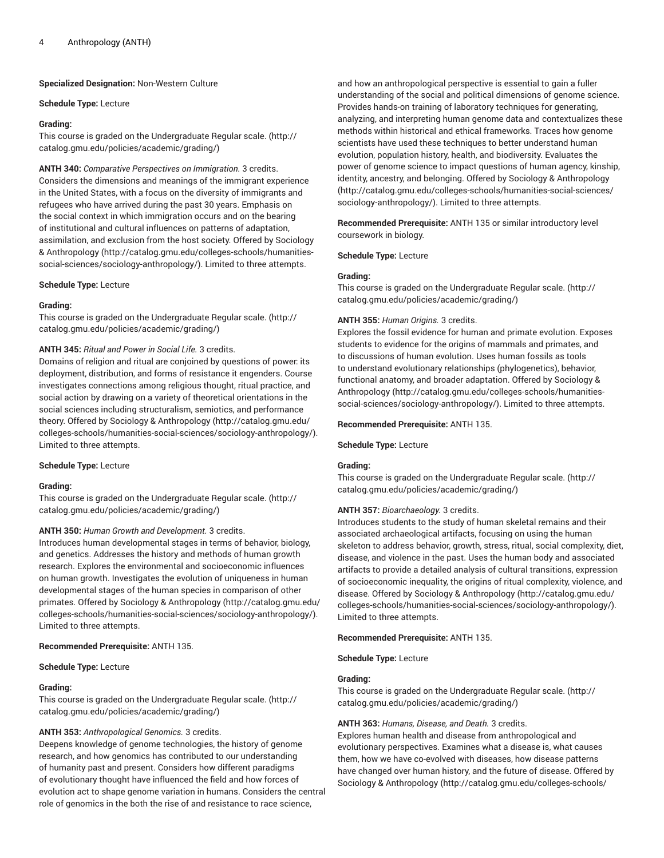**Specialized Designation:** Non-Western Culture

#### **Schedule Type:** Lecture

#### **Grading:**

This course is graded on the [Undergraduate](http://catalog.gmu.edu/policies/academic/grading/) Regular scale. ([http://](http://catalog.gmu.edu/policies/academic/grading/) [catalog.gmu.edu/policies/academic/grading/\)](http://catalog.gmu.edu/policies/academic/grading/)

**ANTH 340:** *Comparative Perspectives on Immigration.* 3 credits. Considers the dimensions and meanings of the immigrant experience in the United States, with a focus on the diversity of immigrants and refugees who have arrived during the past 30 years. Emphasis on the social context in which immigration occurs and on the bearing of institutional and cultural influences on patterns of adaptation, assimilation, and exclusion from the host society. Offered by [Sociology](http://catalog.gmu.edu/colleges-schools/humanities-social-sciences/sociology-anthropology/) & [Anthropology](http://catalog.gmu.edu/colleges-schools/humanities-social-sciences/sociology-anthropology/) [\(http://catalog.gmu.edu/colleges-schools/humanities](http://catalog.gmu.edu/colleges-schools/humanities-social-sciences/sociology-anthropology/)[social-sciences/sociology-anthropology/](http://catalog.gmu.edu/colleges-schools/humanities-social-sciences/sociology-anthropology/)). Limited to three attempts.

#### **Schedule Type:** Lecture

## **Grading:**

This course is graded on the [Undergraduate](http://catalog.gmu.edu/policies/academic/grading/) Regular scale. ([http://](http://catalog.gmu.edu/policies/academic/grading/) [catalog.gmu.edu/policies/academic/grading/\)](http://catalog.gmu.edu/policies/academic/grading/)

#### **ANTH 345:** *Ritual and Power in Social Life.* 3 credits.

Domains of religion and ritual are conjoined by questions of power: its deployment, distribution, and forms of resistance it engenders. Course investigates connections among religious thought, ritual practice, and social action by drawing on a variety of theoretical orientations in the social sciences including structuralism, semiotics, and performance theory. Offered by Sociology & [Anthropology](http://catalog.gmu.edu/colleges-schools/humanities-social-sciences/sociology-anthropology/) ([http://catalog.gmu.edu/](http://catalog.gmu.edu/colleges-schools/humanities-social-sciences/sociology-anthropology/) [colleges-schools/humanities-social-sciences/sociology-anthropology/\)](http://catalog.gmu.edu/colleges-schools/humanities-social-sciences/sociology-anthropology/). Limited to three attempts.

#### **Schedule Type:** Lecture

## **Grading:**

This course is graded on the [Undergraduate](http://catalog.gmu.edu/policies/academic/grading/) Regular scale. ([http://](http://catalog.gmu.edu/policies/academic/grading/) [catalog.gmu.edu/policies/academic/grading/\)](http://catalog.gmu.edu/policies/academic/grading/)

## **ANTH 350:** *Human Growth and Development.* 3 credits.

Introduces human developmental stages in terms of behavior, biology, and genetics. Addresses the history and methods of human growth research. Explores the environmental and socioeconomic influences on human growth. Investigates the evolution of uniqueness in human developmental stages of the human species in comparison of other primates. Offered by Sociology & [Anthropology \(http://catalog.gmu.edu/](http://catalog.gmu.edu/colleges-schools/humanities-social-sciences/sociology-anthropology/) [colleges-schools/humanities-social-sciences/sociology-anthropology/\)](http://catalog.gmu.edu/colleges-schools/humanities-social-sciences/sociology-anthropology/). Limited to three attempts.

#### **Recommended Prerequisite:** ANTH 135.

#### **Schedule Type:** Lecture

#### **Grading:**

This course is graded on the [Undergraduate](http://catalog.gmu.edu/policies/academic/grading/) Regular scale. ([http://](http://catalog.gmu.edu/policies/academic/grading/) [catalog.gmu.edu/policies/academic/grading/\)](http://catalog.gmu.edu/policies/academic/grading/)

## **ANTH 353:** *Anthropological Genomics.* 3 credits.

Deepens knowledge of genome technologies, the history of genome research, and how genomics has contributed to our understanding of humanity past and present. Considers how different paradigms of evolutionary thought have influenced the field and how forces of evolution act to shape genome variation in humans. Considers the central role of genomics in the both the rise of and resistance to race science,

and how an anthropological perspective is essential to gain a fuller understanding of the social and political dimensions of genome science. Provides hands-on training of laboratory techniques for generating, analyzing, and interpreting human genome data and contextualizes these methods within historical and ethical frameworks. Traces how genome scientists have used these techniques to better understand human evolution, population history, health, and biodiversity. Evaluates the power of genome science to impact questions of human agency, kinship, identity, ancestry, and belonging. Offered by Sociology & [Anthropology](http://catalog.gmu.edu/colleges-schools/humanities-social-sciences/sociology-anthropology/) [\(http://catalog.gmu.edu/colleges-schools/humanities-social-sciences/](http://catalog.gmu.edu/colleges-schools/humanities-social-sciences/sociology-anthropology/) [sociology-anthropology/](http://catalog.gmu.edu/colleges-schools/humanities-social-sciences/sociology-anthropology/)). Limited to three attempts.

**Recommended Prerequisite:** ANTH 135 or similar introductory level coursework in biology.

**Schedule Type:** Lecture

#### **Grading:**

This course is graded on the [Undergraduate](http://catalog.gmu.edu/policies/academic/grading/) Regular scale. ([http://](http://catalog.gmu.edu/policies/academic/grading/) [catalog.gmu.edu/policies/academic/grading/](http://catalog.gmu.edu/policies/academic/grading/))

## **ANTH 355:** *Human Origins.* 3 credits.

Explores the fossil evidence for human and primate evolution. Exposes students to evidence for the origins of mammals and primates, and to discussions of human evolution. Uses human fossils as tools to understand evolutionary relationships (phylogenetics), behavior, functional anatomy, and broader adaptation. Offered by [Sociology &](http://catalog.gmu.edu/colleges-schools/humanities-social-sciences/sociology-anthropology/) [Anthropology \(http://catalog.gmu.edu/colleges-schools/humanities](http://catalog.gmu.edu/colleges-schools/humanities-social-sciences/sociology-anthropology/)[social-sciences/sociology-anthropology/\)](http://catalog.gmu.edu/colleges-schools/humanities-social-sciences/sociology-anthropology/). Limited to three attempts.

#### **Recommended Prerequisite:** ANTH 135.

**Schedule Type:** Lecture

## **Grading:**

This course is graded on the [Undergraduate](http://catalog.gmu.edu/policies/academic/grading/) Regular scale. ([http://](http://catalog.gmu.edu/policies/academic/grading/) [catalog.gmu.edu/policies/academic/grading/](http://catalog.gmu.edu/policies/academic/grading/))

## **ANTH 357:** *Bioarchaeology.* 3 credits.

Introduces students to the study of human skeletal remains and their associated archaeological artifacts, focusing on using the human skeleton to address behavior, growth, stress, ritual, social complexity, diet, disease, and violence in the past. Uses the human body and associated artifacts to provide a detailed analysis of cultural transitions, expression of socioeconomic inequality, the origins of ritual complexity, violence, and disease. Offered by Sociology & [Anthropology](http://catalog.gmu.edu/colleges-schools/humanities-social-sciences/sociology-anthropology/) ([http://catalog.gmu.edu/](http://catalog.gmu.edu/colleges-schools/humanities-social-sciences/sociology-anthropology/) [colleges-schools/humanities-social-sciences/sociology-anthropology/\)](http://catalog.gmu.edu/colleges-schools/humanities-social-sciences/sociology-anthropology/). Limited to three attempts.

#### **Recommended Prerequisite:** ANTH 135.

**Schedule Type:** Lecture

#### **Grading:**

This course is graded on the [Undergraduate](http://catalog.gmu.edu/policies/academic/grading/) Regular scale. ([http://](http://catalog.gmu.edu/policies/academic/grading/) [catalog.gmu.edu/policies/academic/grading/](http://catalog.gmu.edu/policies/academic/grading/))

#### **ANTH 363:** *Humans, Disease, and Death.* 3 credits.

Explores human health and disease from anthropological and evolutionary perspectives. Examines what a disease is, what causes them, how we have co-evolved with diseases, how disease patterns have changed over human history, and the future of disease. Offered by Sociology & [Anthropology](http://catalog.gmu.edu/colleges-schools/humanities-social-sciences/sociology-anthropology/) ([http://catalog.gmu.edu/colleges-schools/](http://catalog.gmu.edu/colleges-schools/humanities-social-sciences/sociology-anthropology/)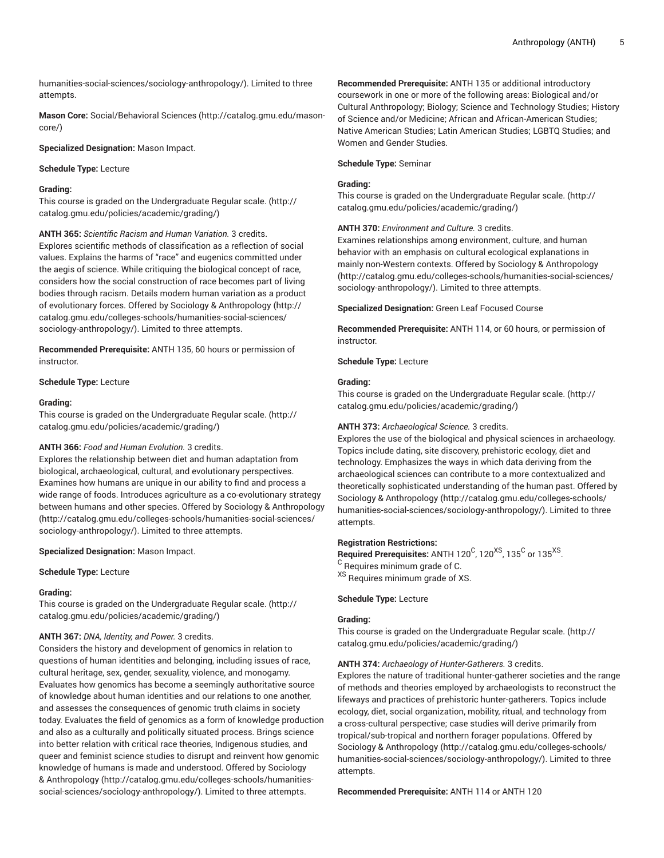[humanities-social-sciences/sociology-anthropology/\)](http://catalog.gmu.edu/colleges-schools/humanities-social-sciences/sociology-anthropology/). Limited to three attempts.

**Mason Core:** [Social/Behavioral](http://catalog.gmu.edu/mason-core/) Sciences ([http://catalog.gmu.edu/mason](http://catalog.gmu.edu/mason-core/)[core/\)](http://catalog.gmu.edu/mason-core/)

**Specialized Designation:** Mason Impact.

**Schedule Type:** Lecture

## **Grading:**

This course is graded on the [Undergraduate](http://catalog.gmu.edu/policies/academic/grading/) Regular scale. ([http://](http://catalog.gmu.edu/policies/academic/grading/) [catalog.gmu.edu/policies/academic/grading/\)](http://catalog.gmu.edu/policies/academic/grading/)

**ANTH 365:** *Scientific Racism and Human Variation.* 3 credits. Explores scientific methods of classification as a reflection of social values. Explains the harms of "race" and eugenics committed under

the aegis of science. While critiquing the biological concept of race, considers how the social construction of race becomes part of living bodies through racism. Details modern human variation as a product of evolutionary forces. Offered by Sociology & [Anthropology](http://catalog.gmu.edu/colleges-schools/humanities-social-sciences/sociology-anthropology/) ([http://](http://catalog.gmu.edu/colleges-schools/humanities-social-sciences/sociology-anthropology/) [catalog.gmu.edu/colleges-schools/humanities-social-sciences/](http://catalog.gmu.edu/colleges-schools/humanities-social-sciences/sociology-anthropology/) [sociology-anthropology/\)](http://catalog.gmu.edu/colleges-schools/humanities-social-sciences/sociology-anthropology/). Limited to three attempts.

**Recommended Prerequisite:** ANTH 135, 60 hours or permission of instructor.

#### **Schedule Type:** Lecture

#### **Grading:**

This course is graded on the [Undergraduate](http://catalog.gmu.edu/policies/academic/grading/) Regular scale. ([http://](http://catalog.gmu.edu/policies/academic/grading/) [catalog.gmu.edu/policies/academic/grading/\)](http://catalog.gmu.edu/policies/academic/grading/)

## **ANTH 366:** *Food and Human Evolution.* 3 credits.

Explores the relationship between diet and human adaptation from biological, archaeological, cultural, and evolutionary perspectives. Examines how humans are unique in our ability to find and process a wide range of foods. Introduces agriculture as a co-evolutionary strategy between humans and other species. Offered by Sociology & [Anthropology](http://catalog.gmu.edu/colleges-schools/humanities-social-sciences/sociology-anthropology/) ([http://catalog.gmu.edu/colleges-schools/humanities-social-sciences/](http://catalog.gmu.edu/colleges-schools/humanities-social-sciences/sociology-anthropology/) [sociology-anthropology/\)](http://catalog.gmu.edu/colleges-schools/humanities-social-sciences/sociology-anthropology/). Limited to three attempts.

**Specialized Designation:** Mason Impact.

**Schedule Type:** Lecture

#### **Grading:**

This course is graded on the [Undergraduate](http://catalog.gmu.edu/policies/academic/grading/) Regular scale. ([http://](http://catalog.gmu.edu/policies/academic/grading/) [catalog.gmu.edu/policies/academic/grading/\)](http://catalog.gmu.edu/policies/academic/grading/)

#### **ANTH 367:** *DNA, Identity, and Power.* 3 credits.

Considers the history and development of genomics in relation to questions of human identities and belonging, including issues of race, cultural heritage, sex, gender, sexuality, violence, and monogamy. Evaluates how genomics has become a seemingly authoritative source of knowledge about human identities and our relations to one another, and assesses the consequences of genomic truth claims in society today. Evaluates the field of genomics as a form of knowledge production and also as a culturally and politically situated process. Brings science into better relation with critical race theories, Indigenous studies, and queer and feminist science studies to disrupt and reinvent how genomic knowledge of humans is made and understood. Offered by [Sociology](http://catalog.gmu.edu/colleges-schools/humanities-social-sciences/sociology-anthropology/) & [Anthropology](http://catalog.gmu.edu/colleges-schools/humanities-social-sciences/sociology-anthropology/) [\(http://catalog.gmu.edu/colleges-schools/humanities](http://catalog.gmu.edu/colleges-schools/humanities-social-sciences/sociology-anthropology/)[social-sciences/sociology-anthropology/](http://catalog.gmu.edu/colleges-schools/humanities-social-sciences/sociology-anthropology/)). Limited to three attempts.

**Recommended Prerequisite:** ANTH 135 or additional introductory coursework in one or more of the following areas: Biological and/or Cultural Anthropology; Biology; Science and Technology Studies; History of Science and/or Medicine; African and African-American Studies; Native American Studies; Latin American Studies; LGBTQ Studies; and Women and Gender Studies.

#### **Schedule Type:** Seminar

## **Grading:**

This course is graded on the [Undergraduate](http://catalog.gmu.edu/policies/academic/grading/) Regular scale. ([http://](http://catalog.gmu.edu/policies/academic/grading/) [catalog.gmu.edu/policies/academic/grading/](http://catalog.gmu.edu/policies/academic/grading/))

**ANTH 370:** *Environment and Culture.* 3 credits.

Examines relationships among environment, culture, and human behavior with an emphasis on cultural ecological explanations in mainly non-Western contexts. Offered by Sociology & [Anthropology](http://catalog.gmu.edu/colleges-schools/humanities-social-sciences/sociology-anthropology/) [\(http://catalog.gmu.edu/colleges-schools/humanities-social-sciences/](http://catalog.gmu.edu/colleges-schools/humanities-social-sciences/sociology-anthropology/) [sociology-anthropology/](http://catalog.gmu.edu/colleges-schools/humanities-social-sciences/sociology-anthropology/)). Limited to three attempts.

**Specialized Designation:** Green Leaf Focused Course

**Recommended Prerequisite:** ANTH 114, or 60 hours, or permission of instructor.

**Schedule Type:** Lecture

#### **Grading:**

This course is graded on the [Undergraduate](http://catalog.gmu.edu/policies/academic/grading/) Regular scale. ([http://](http://catalog.gmu.edu/policies/academic/grading/) [catalog.gmu.edu/policies/academic/grading/](http://catalog.gmu.edu/policies/academic/grading/))

## **ANTH 373:** *Archaeological Science.* 3 credits.

Explores the use of the biological and physical sciences in archaeology. Topics include dating, site discovery, prehistoric ecology, diet and technology. Emphasizes the ways in which data deriving from the archaeological sciences can contribute to a more contextualized and theoretically sophisticated understanding of the human past. Offered by Sociology & [Anthropology](http://catalog.gmu.edu/colleges-schools/humanities-social-sciences/sociology-anthropology/) ([http://catalog.gmu.edu/colleges-schools/](http://catalog.gmu.edu/colleges-schools/humanities-social-sciences/sociology-anthropology/) [humanities-social-sciences/sociology-anthropology/](http://catalog.gmu.edu/colleges-schools/humanities-social-sciences/sociology-anthropology/)). Limited to three attempts.

## **Registration Restrictions:**

 ${\sf Required \, Prequited}$   ${\sf Pre requires:}$   ${\sf ANTH \, 120}^{\rm C}$ ,  ${\sf 120}^{\rm XS}$ ,  ${\sf 135}^{\rm C}$  or  ${\sf 135}^{\rm XS}$ .

<sup>C</sup> Requires minimum grade of C.

XS Requires minimum grade of XS.

#### **Schedule Type:** Lecture

#### **Grading:**

This course is graded on the [Undergraduate](http://catalog.gmu.edu/policies/academic/grading/) Regular scale. ([http://](http://catalog.gmu.edu/policies/academic/grading/) [catalog.gmu.edu/policies/academic/grading/](http://catalog.gmu.edu/policies/academic/grading/))

#### **ANTH 374:** *Archaeology of Hunter-Gatherers.* 3 credits.

Explores the nature of traditional hunter-gatherer societies and the range of methods and theories employed by archaeologists to reconstruct the lifeways and practices of prehistoric hunter-gatherers. Topics include ecology, diet, social organization, mobility, ritual, and technology from a cross-cultural perspective; case studies will derive primarily from tropical/sub-tropical and northern forager populations. Offered by Sociology & [Anthropology](http://catalog.gmu.edu/colleges-schools/humanities-social-sciences/sociology-anthropology/) ([http://catalog.gmu.edu/colleges-schools/](http://catalog.gmu.edu/colleges-schools/humanities-social-sciences/sociology-anthropology/) [humanities-social-sciences/sociology-anthropology/](http://catalog.gmu.edu/colleges-schools/humanities-social-sciences/sociology-anthropology/)). Limited to three attempts.

**Recommended Prerequisite:** ANTH 114 or ANTH 120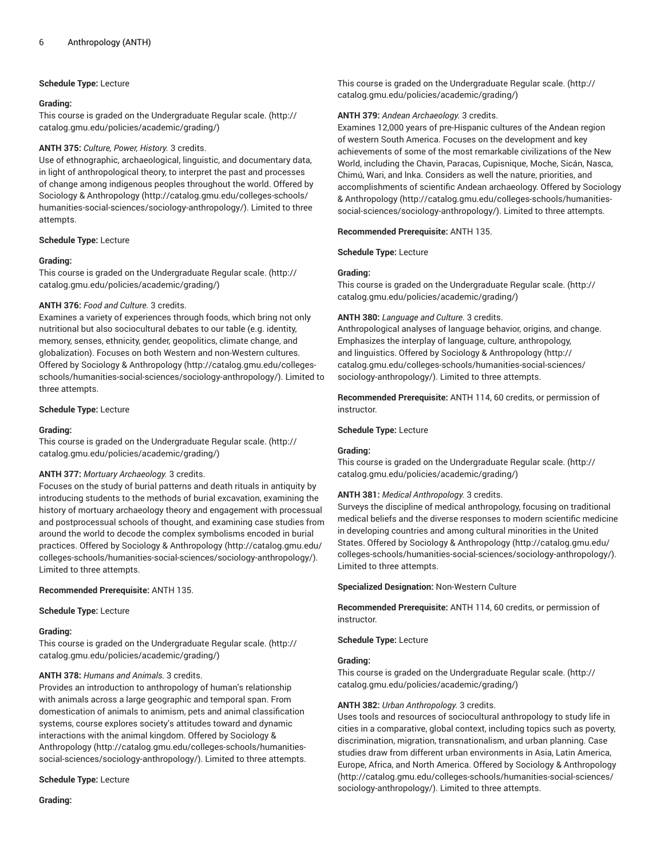## **Schedule Type:** Lecture

## **Grading:**

This course is graded on the [Undergraduate](http://catalog.gmu.edu/policies/academic/grading/) Regular scale. ([http://](http://catalog.gmu.edu/policies/academic/grading/) [catalog.gmu.edu/policies/academic/grading/\)](http://catalog.gmu.edu/policies/academic/grading/)

## **ANTH 375:** *Culture, Power, History.* 3 credits.

Use of ethnographic, archaeological, linguistic, and documentary data, in light of anthropological theory, to interpret the past and processes of change among indigenous peoples throughout the world. Offered by Sociology & [Anthropology \(http://catalog.gmu.edu/colleges-schools/](http://catalog.gmu.edu/colleges-schools/humanities-social-sciences/sociology-anthropology/) [humanities-social-sciences/sociology-anthropology/\)](http://catalog.gmu.edu/colleges-schools/humanities-social-sciences/sociology-anthropology/). Limited to three attempts.

## **Schedule Type:** Lecture

## **Grading:**

This course is graded on the [Undergraduate](http://catalog.gmu.edu/policies/academic/grading/) Regular scale. ([http://](http://catalog.gmu.edu/policies/academic/grading/) [catalog.gmu.edu/policies/academic/grading/\)](http://catalog.gmu.edu/policies/academic/grading/)

## **ANTH 376:** *Food and Culture.* 3 credits.

Examines a variety of experiences through foods, which bring not only nutritional but also sociocultural debates to our table (e.g. identity, memory, senses, ethnicity, gender, geopolitics, climate change, and globalization). Focuses on both Western and non-Western cultures. Offered by Sociology & [Anthropology \(http://catalog.gmu.edu/colleges](http://catalog.gmu.edu/colleges-schools/humanities-social-sciences/sociology-anthropology/)[schools/humanities-social-sciences/sociology-anthropology/](http://catalog.gmu.edu/colleges-schools/humanities-social-sciences/sociology-anthropology/)). Limited to three attempts.

## **Schedule Type:** Lecture

## **Grading:**

This course is graded on the [Undergraduate](http://catalog.gmu.edu/policies/academic/grading/) Regular scale. ([http://](http://catalog.gmu.edu/policies/academic/grading/) [catalog.gmu.edu/policies/academic/grading/\)](http://catalog.gmu.edu/policies/academic/grading/)

## **ANTH 377:** *Mortuary Archaeology.* 3 credits.

Focuses on the study of burial patterns and death rituals in antiquity by introducing students to the methods of burial excavation, examining the history of mortuary archaeology theory and engagement with processual and postprocessual schools of thought, and examining case studies from around the world to decode the complex symbolisms encoded in burial practices. Offered by Sociology & [Anthropology](http://catalog.gmu.edu/colleges-schools/humanities-social-sciences/sociology-anthropology/) ([http://catalog.gmu.edu/](http://catalog.gmu.edu/colleges-schools/humanities-social-sciences/sociology-anthropology/) [colleges-schools/humanities-social-sciences/sociology-anthropology/\)](http://catalog.gmu.edu/colleges-schools/humanities-social-sciences/sociology-anthropology/). Limited to three attempts.

## **Recommended Prerequisite:** ANTH 135.

**Schedule Type:** Lecture

## **Grading:**

This course is graded on the [Undergraduate](http://catalog.gmu.edu/policies/academic/grading/) Regular scale. ([http://](http://catalog.gmu.edu/policies/academic/grading/) [catalog.gmu.edu/policies/academic/grading/\)](http://catalog.gmu.edu/policies/academic/grading/)

## **ANTH 378:** *Humans and Animals.* 3 credits.

Provides an introduction to anthropology of human's relationship with animals across a large geographic and temporal span. From domestication of animals to animism, pets and animal classification systems, course explores society's attitudes toward and dynamic interactions with the animal kingdom. Offered by [Sociology &](http://catalog.gmu.edu/colleges-schools/humanities-social-sciences/sociology-anthropology/) [Anthropology](http://catalog.gmu.edu/colleges-schools/humanities-social-sciences/sociology-anthropology/) [\(http://catalog.gmu.edu/colleges-schools/humanities](http://catalog.gmu.edu/colleges-schools/humanities-social-sciences/sociology-anthropology/)[social-sciences/sociology-anthropology/](http://catalog.gmu.edu/colleges-schools/humanities-social-sciences/sociology-anthropology/)). Limited to three attempts.

**Schedule Type:** Lecture

**Grading:**

This course is graded on the [Undergraduate](http://catalog.gmu.edu/policies/academic/grading/) Regular scale. ([http://](http://catalog.gmu.edu/policies/academic/grading/) [catalog.gmu.edu/policies/academic/grading/](http://catalog.gmu.edu/policies/academic/grading/))

## **ANTH 379:** *Andean Archaeology.* 3 credits.

Examines 12,000 years of pre-Hispanic cultures of the Andean region of western South America. Focuses on the development and key achievements of some of the most remarkable civilizations of the New World, including the Chavin, Paracas, Cupisnique, Moche, Sicán, Nasca, Chimú, Wari, and lnka. Considers as well the nature, priorities, and accomplishments of scientific Andean archaeology. Offered by [Sociology](http://catalog.gmu.edu/colleges-schools/humanities-social-sciences/sociology-anthropology/) & [Anthropology \(http://catalog.gmu.edu/colleges-schools/humanities](http://catalog.gmu.edu/colleges-schools/humanities-social-sciences/sociology-anthropology/)[social-sciences/sociology-anthropology/\)](http://catalog.gmu.edu/colleges-schools/humanities-social-sciences/sociology-anthropology/). Limited to three attempts.

## **Recommended Prerequisite:** ANTH 135.

**Schedule Type:** Lecture

## **Grading:**

This course is graded on the [Undergraduate](http://catalog.gmu.edu/policies/academic/grading/) Regular scale. ([http://](http://catalog.gmu.edu/policies/academic/grading/) [catalog.gmu.edu/policies/academic/grading/](http://catalog.gmu.edu/policies/academic/grading/))

## **ANTH 380:** *Language and Culture.* 3 credits.

Anthropological analyses of language behavior, origins, and change. Emphasizes the interplay of language, culture, anthropology, and linguistics. Offered by Sociology & [Anthropology \(http://](http://catalog.gmu.edu/colleges-schools/humanities-social-sciences/sociology-anthropology/) [catalog.gmu.edu/colleges-schools/humanities-social-sciences/](http://catalog.gmu.edu/colleges-schools/humanities-social-sciences/sociology-anthropology/) [sociology-anthropology/](http://catalog.gmu.edu/colleges-schools/humanities-social-sciences/sociology-anthropology/)). Limited to three attempts.

**Recommended Prerequisite:** ANTH 114, 60 credits, or permission of instructor.

## **Schedule Type:** Lecture

## **Grading:**

This course is graded on the [Undergraduate](http://catalog.gmu.edu/policies/academic/grading/) Regular scale. ([http://](http://catalog.gmu.edu/policies/academic/grading/) [catalog.gmu.edu/policies/academic/grading/](http://catalog.gmu.edu/policies/academic/grading/))

## **ANTH 381:** *Medical Anthropology.* 3 credits.

Surveys the discipline of medical anthropology, focusing on traditional medical beliefs and the diverse responses to modern scientific medicine in developing countries and among cultural minorities in the United States. Offered by Sociology & [Anthropology \(http://catalog.gmu.edu/](http://catalog.gmu.edu/colleges-schools/humanities-social-sciences/sociology-anthropology/) [colleges-schools/humanities-social-sciences/sociology-anthropology/\)](http://catalog.gmu.edu/colleges-schools/humanities-social-sciences/sociology-anthropology/). Limited to three attempts.

**Specialized Designation:** Non-Western Culture

**Recommended Prerequisite:** ANTH 114, 60 credits, or permission of instructor.

**Schedule Type:** Lecture

## **Grading:**

This course is graded on the [Undergraduate](http://catalog.gmu.edu/policies/academic/grading/) Regular scale. ([http://](http://catalog.gmu.edu/policies/academic/grading/) [catalog.gmu.edu/policies/academic/grading/](http://catalog.gmu.edu/policies/academic/grading/))

## **ANTH 382:** *Urban Anthropology.* 3 credits.

Uses tools and resources of sociocultural anthropology to study life in cities in a comparative, global context, including topics such as poverty, discrimination, migration, transnationalism, and urban planning. Case studies draw from different urban environments in Asia, Latin America, Europe, Africa, and North America. Offered by Sociology & [Anthropology](http://catalog.gmu.edu/colleges-schools/humanities-social-sciences/sociology-anthropology/) [\(http://catalog.gmu.edu/colleges-schools/humanities-social-sciences/](http://catalog.gmu.edu/colleges-schools/humanities-social-sciences/sociology-anthropology/) [sociology-anthropology/](http://catalog.gmu.edu/colleges-schools/humanities-social-sciences/sociology-anthropology/)). Limited to three attempts.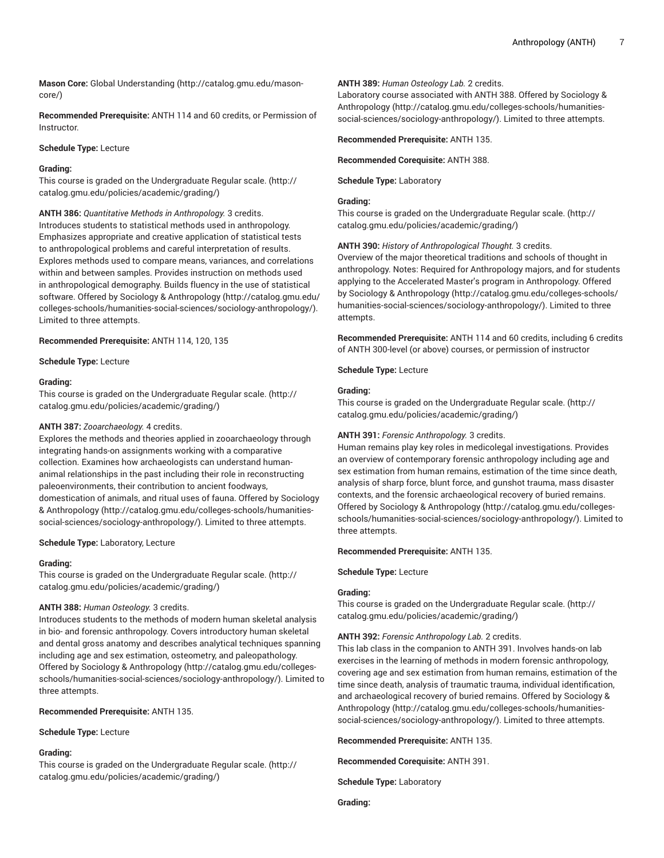**Mason Core:** [Global Understanding](http://catalog.gmu.edu/mason-core/) ([http://catalog.gmu.edu/mason](http://catalog.gmu.edu/mason-core/)[core/\)](http://catalog.gmu.edu/mason-core/)

**Recommended Prerequisite:** ANTH 114 and 60 credits, or Permission of Instructor.

**Schedule Type:** Lecture

#### **Grading:**

This course is graded on the [Undergraduate](http://catalog.gmu.edu/policies/academic/grading/) Regular scale. ([http://](http://catalog.gmu.edu/policies/academic/grading/) [catalog.gmu.edu/policies/academic/grading/\)](http://catalog.gmu.edu/policies/academic/grading/)

**ANTH 386:** *Quantitative Methods in Anthropology.* 3 credits. Introduces students to statistical methods used in anthropology. Emphasizes appropriate and creative application of statistical tests to anthropological problems and careful interpretation of results. Explores methods used to compare means, variances, and correlations within and between samples. Provides instruction on methods used in anthropological demography. Builds fluency in the use of statistical software. Offered by Sociology & [Anthropology \(http://catalog.gmu.edu/](http://catalog.gmu.edu/colleges-schools/humanities-social-sciences/sociology-anthropology/) [colleges-schools/humanities-social-sciences/sociology-anthropology/\)](http://catalog.gmu.edu/colleges-schools/humanities-social-sciences/sociology-anthropology/). Limited to three attempts.

**Recommended Prerequisite:** ANTH 114, 120, 135

**Schedule Type:** Lecture

#### **Grading:**

This course is graded on the [Undergraduate](http://catalog.gmu.edu/policies/academic/grading/) Regular scale. ([http://](http://catalog.gmu.edu/policies/academic/grading/) [catalog.gmu.edu/policies/academic/grading/\)](http://catalog.gmu.edu/policies/academic/grading/)

#### **ANTH 387:** *Zooarchaeology.* 4 credits.

Explores the methods and theories applied in zooarchaeology through integrating hands-on assignments working with a comparative collection. Examines how archaeologists can understand humananimal relationships in the past including their role in reconstructing paleoenvironments, their contribution to ancient foodways, domestication of animals, and ritual uses of fauna. Offered by [Sociology](http://catalog.gmu.edu/colleges-schools/humanities-social-sciences/sociology-anthropology/) & [Anthropology](http://catalog.gmu.edu/colleges-schools/humanities-social-sciences/sociology-anthropology/) [\(http://catalog.gmu.edu/colleges-schools/humanities](http://catalog.gmu.edu/colleges-schools/humanities-social-sciences/sociology-anthropology/)[social-sciences/sociology-anthropology/](http://catalog.gmu.edu/colleges-schools/humanities-social-sciences/sociology-anthropology/)). Limited to three attempts.

**Schedule Type:** Laboratory, Lecture

#### **Grading:**

This course is graded on the [Undergraduate](http://catalog.gmu.edu/policies/academic/grading/) Regular scale. ([http://](http://catalog.gmu.edu/policies/academic/grading/) [catalog.gmu.edu/policies/academic/grading/\)](http://catalog.gmu.edu/policies/academic/grading/)

#### **ANTH 388:** *Human Osteology.* 3 credits.

Introduces students to the methods of modern human skeletal analysis in bio- and forensic anthropology. Covers introductory human skeletal and dental gross anatomy and describes analytical techniques spanning including age and sex estimation, osteometry, and paleopathology. Offered by Sociology & [Anthropology \(http://catalog.gmu.edu/colleges](http://catalog.gmu.edu/colleges-schools/humanities-social-sciences/sociology-anthropology/)[schools/humanities-social-sciences/sociology-anthropology/](http://catalog.gmu.edu/colleges-schools/humanities-social-sciences/sociology-anthropology/)). Limited to three attempts.

## **Recommended Prerequisite:** ANTH 135.

**Schedule Type:** Lecture

#### **Grading:**

This course is graded on the [Undergraduate](http://catalog.gmu.edu/policies/academic/grading/) Regular scale. ([http://](http://catalog.gmu.edu/policies/academic/grading/) [catalog.gmu.edu/policies/academic/grading/\)](http://catalog.gmu.edu/policies/academic/grading/)

#### **ANTH 389:** *Human Osteology Lab.* 2 credits.

Laboratory course associated with ANTH 388. Offered by [Sociology &](http://catalog.gmu.edu/colleges-schools/humanities-social-sciences/sociology-anthropology/) [Anthropology \(http://catalog.gmu.edu/colleges-schools/humanities](http://catalog.gmu.edu/colleges-schools/humanities-social-sciences/sociology-anthropology/)[social-sciences/sociology-anthropology/\)](http://catalog.gmu.edu/colleges-schools/humanities-social-sciences/sociology-anthropology/). Limited to three attempts.

**Recommended Prerequisite:** ANTH 135.

## **Recommended Corequisite:** ANTH 388.

**Schedule Type:** Laboratory

#### **Grading:**

This course is graded on the [Undergraduate](http://catalog.gmu.edu/policies/academic/grading/) Regular scale. ([http://](http://catalog.gmu.edu/policies/academic/grading/) [catalog.gmu.edu/policies/academic/grading/](http://catalog.gmu.edu/policies/academic/grading/))

**ANTH 390:** *History of Anthropological Thought.* 3 credits.

Overview of the major theoretical traditions and schools of thought in anthropology. Notes: Required for Anthropology majors, and for students applying to the Accelerated Master's program in Anthropology. Offered by Sociology & [Anthropology \(http://catalog.gmu.edu/colleges-schools/](http://catalog.gmu.edu/colleges-schools/humanities-social-sciences/sociology-anthropology/) [humanities-social-sciences/sociology-anthropology/](http://catalog.gmu.edu/colleges-schools/humanities-social-sciences/sociology-anthropology/)). Limited to three attempts.

**Recommended Prerequisite:** ANTH 114 and 60 credits, including 6 credits of ANTH 300-level (or above) courses, or permission of instructor

**Schedule Type:** Lecture

## **Grading:**

This course is graded on the [Undergraduate](http://catalog.gmu.edu/policies/academic/grading/) Regular scale. ([http://](http://catalog.gmu.edu/policies/academic/grading/) [catalog.gmu.edu/policies/academic/grading/](http://catalog.gmu.edu/policies/academic/grading/))

#### **ANTH 391:** *Forensic Anthropology.* 3 credits.

Human remains play key roles in medicolegal investigations. Provides an overview of contemporary forensic anthropology including age and sex estimation from human remains, estimation of the time since death, analysis of sharp force, blunt force, and gunshot trauma, mass disaster contexts, and the forensic archaeological recovery of buried remains. Offered by Sociology & [Anthropology](http://catalog.gmu.edu/colleges-schools/humanities-social-sciences/sociology-anthropology/) ([http://catalog.gmu.edu/colleges](http://catalog.gmu.edu/colleges-schools/humanities-social-sciences/sociology-anthropology/)[schools/humanities-social-sciences/sociology-anthropology/\)](http://catalog.gmu.edu/colleges-schools/humanities-social-sciences/sociology-anthropology/). Limited to three attempts.

**Recommended Prerequisite:** ANTH 135.

**Schedule Type:** Lecture

#### **Grading:**

This course is graded on the [Undergraduate](http://catalog.gmu.edu/policies/academic/grading/) Regular scale. ([http://](http://catalog.gmu.edu/policies/academic/grading/) [catalog.gmu.edu/policies/academic/grading/](http://catalog.gmu.edu/policies/academic/grading/))

#### **ANTH 392:** *Forensic Anthropology Lab.* 2 credits.

This lab class in the companion to ANTH 391. Involves hands-on lab exercises in the learning of methods in modern forensic anthropology, covering age and sex estimation from human remains, estimation of the time since death, analysis of traumatic trauma, individual identification, and archaeological recovery of buried remains. Offered by [Sociology &](http://catalog.gmu.edu/colleges-schools/humanities-social-sciences/sociology-anthropology/) [Anthropology \(http://catalog.gmu.edu/colleges-schools/humanities](http://catalog.gmu.edu/colleges-schools/humanities-social-sciences/sociology-anthropology/)[social-sciences/sociology-anthropology/\)](http://catalog.gmu.edu/colleges-schools/humanities-social-sciences/sociology-anthropology/). Limited to three attempts.

**Recommended Prerequisite:** ANTH 135.

**Recommended Corequisite:** ANTH 391.

**Schedule Type:** Laboratory

**Grading:**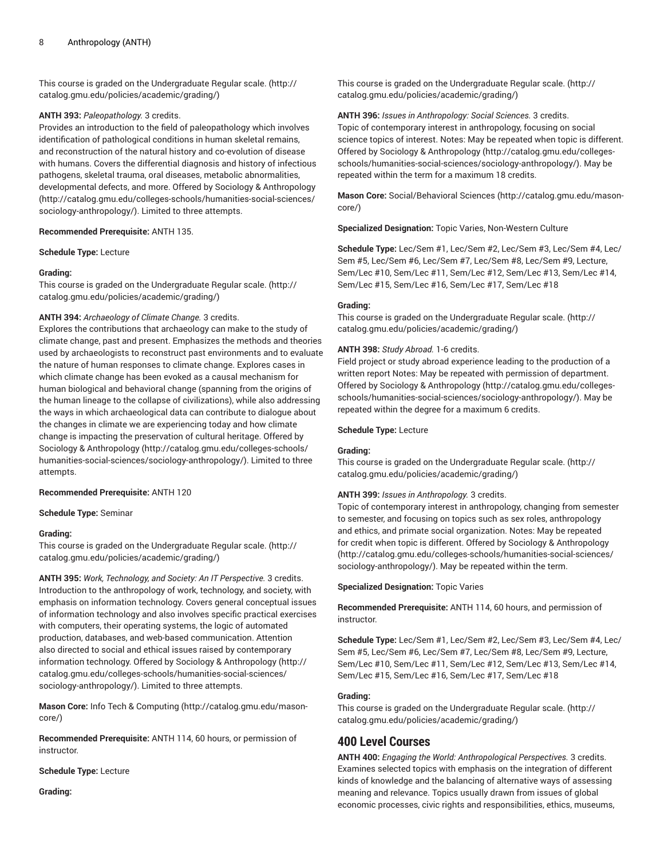This course is graded on the [Undergraduate](http://catalog.gmu.edu/policies/academic/grading/) Regular scale. ([http://](http://catalog.gmu.edu/policies/academic/grading/) [catalog.gmu.edu/policies/academic/grading/\)](http://catalog.gmu.edu/policies/academic/grading/)

#### **ANTH 393:** *Paleopathology.* 3 credits.

Provides an introduction to the field of paleopathology which involves identification of pathological conditions in human skeletal remains, and reconstruction of the natural history and co-evolution of disease with humans. Covers the differential diagnosis and history of infectious pathogens, skeletal trauma, oral diseases, metabolic abnormalities, developmental defects, and more. Offered by Sociology & [Anthropology](http://catalog.gmu.edu/colleges-schools/humanities-social-sciences/sociology-anthropology/) ([http://catalog.gmu.edu/colleges-schools/humanities-social-sciences/](http://catalog.gmu.edu/colleges-schools/humanities-social-sciences/sociology-anthropology/) [sociology-anthropology/\)](http://catalog.gmu.edu/colleges-schools/humanities-social-sciences/sociology-anthropology/). Limited to three attempts.

**Recommended Prerequisite:** ANTH 135.

**Schedule Type:** Lecture

#### **Grading:**

This course is graded on the [Undergraduate](http://catalog.gmu.edu/policies/academic/grading/) Regular scale. ([http://](http://catalog.gmu.edu/policies/academic/grading/) [catalog.gmu.edu/policies/academic/grading/\)](http://catalog.gmu.edu/policies/academic/grading/)

## **ANTH 394:** *Archaeology of Climate Change.* 3 credits.

Explores the contributions that archaeology can make to the study of climate change, past and present. Emphasizes the methods and theories used by archaeologists to reconstruct past environments and to evaluate the nature of human responses to climate change. Explores cases in which climate change has been evoked as a causal mechanism for human biological and behavioral change (spanning from the origins of the human lineage to the collapse of civilizations), while also addressing the ways in which archaeological data can contribute to dialogue about the changes in climate we are experiencing today and how climate change is impacting the preservation of cultural heritage. Offered by Sociology & [Anthropology \(http://catalog.gmu.edu/colleges-schools/](http://catalog.gmu.edu/colleges-schools/humanities-social-sciences/sociology-anthropology/) [humanities-social-sciences/sociology-anthropology/\)](http://catalog.gmu.edu/colleges-schools/humanities-social-sciences/sociology-anthropology/). Limited to three attempts.

#### **Recommended Prerequisite:** ANTH 120

**Schedule Type:** Seminar

#### **Grading:**

This course is graded on the [Undergraduate](http://catalog.gmu.edu/policies/academic/grading/) Regular scale. ([http://](http://catalog.gmu.edu/policies/academic/grading/) [catalog.gmu.edu/policies/academic/grading/\)](http://catalog.gmu.edu/policies/academic/grading/)

**ANTH 395:** *Work, Technology, and Society: An IT Perspective.* 3 credits. Introduction to the anthropology of work, technology, and society, with emphasis on information technology. Covers general conceptual issues of information technology and also involves specific practical exercises with computers, their operating systems, the logic of automated production, databases, and web-based communication. Attention also directed to social and ethical issues raised by contemporary information technology. Offered by Sociology & [Anthropology](http://catalog.gmu.edu/colleges-schools/humanities-social-sciences/sociology-anthropology/) ([http://](http://catalog.gmu.edu/colleges-schools/humanities-social-sciences/sociology-anthropology/) [catalog.gmu.edu/colleges-schools/humanities-social-sciences/](http://catalog.gmu.edu/colleges-schools/humanities-social-sciences/sociology-anthropology/) [sociology-anthropology/\)](http://catalog.gmu.edu/colleges-schools/humanities-social-sciences/sociology-anthropology/). Limited to three attempts.

**Mason Core:** Info Tech & [Computing](http://catalog.gmu.edu/mason-core/) ([http://catalog.gmu.edu/mason](http://catalog.gmu.edu/mason-core/)[core/\)](http://catalog.gmu.edu/mason-core/)

**Recommended Prerequisite:** ANTH 114, 60 hours, or permission of instructor.

**Schedule Type:** Lecture

**Grading:**

This course is graded on the [Undergraduate](http://catalog.gmu.edu/policies/academic/grading/) Regular scale. ([http://](http://catalog.gmu.edu/policies/academic/grading/) [catalog.gmu.edu/policies/academic/grading/](http://catalog.gmu.edu/policies/academic/grading/))

**ANTH 396:** *Issues in Anthropology: Social Sciences.* 3 credits. Topic of contemporary interest in anthropology, focusing on social science topics of interest. Notes: May be repeated when topic is different. Offered by Sociology & [Anthropology](http://catalog.gmu.edu/colleges-schools/humanities-social-sciences/sociology-anthropology/) ([http://catalog.gmu.edu/colleges](http://catalog.gmu.edu/colleges-schools/humanities-social-sciences/sociology-anthropology/)[schools/humanities-social-sciences/sociology-anthropology/\)](http://catalog.gmu.edu/colleges-schools/humanities-social-sciences/sociology-anthropology/). May be repeated within the term for a maximum 18 credits.

**Mason Core:** [Social/Behavioral](http://catalog.gmu.edu/mason-core/) Sciences [\(http://catalog.gmu.edu/mason](http://catalog.gmu.edu/mason-core/)[core/](http://catalog.gmu.edu/mason-core/))

**Specialized Designation:** Topic Varies, Non-Western Culture

**Schedule Type:** Lec/Sem #1, Lec/Sem #2, Lec/Sem #3, Lec/Sem #4, Lec/ Sem #5, Lec/Sem #6, Lec/Sem #7, Lec/Sem #8, Lec/Sem #9, Lecture, Sem/Lec #10, Sem/Lec #11, Sem/Lec #12, Sem/Lec #13, Sem/Lec #14, Sem/Lec #15, Sem/Lec #16, Sem/Lec #17, Sem/Lec #18

#### **Grading:**

This course is graded on the [Undergraduate](http://catalog.gmu.edu/policies/academic/grading/) Regular scale. ([http://](http://catalog.gmu.edu/policies/academic/grading/) [catalog.gmu.edu/policies/academic/grading/](http://catalog.gmu.edu/policies/academic/grading/))

#### **ANTH 398:** *Study Abroad.* 1-6 credits.

Field project or study abroad experience leading to the production of a written report Notes: May be repeated with permission of department. Offered by Sociology & [Anthropology](http://catalog.gmu.edu/colleges-schools/humanities-social-sciences/sociology-anthropology/) ([http://catalog.gmu.edu/colleges](http://catalog.gmu.edu/colleges-schools/humanities-social-sciences/sociology-anthropology/)[schools/humanities-social-sciences/sociology-anthropology/\)](http://catalog.gmu.edu/colleges-schools/humanities-social-sciences/sociology-anthropology/). May be repeated within the degree for a maximum 6 credits.

#### **Schedule Type:** Lecture

#### **Grading:**

This course is graded on the [Undergraduate](http://catalog.gmu.edu/policies/academic/grading/) Regular scale. ([http://](http://catalog.gmu.edu/policies/academic/grading/) [catalog.gmu.edu/policies/academic/grading/](http://catalog.gmu.edu/policies/academic/grading/))

#### **ANTH 399:** *Issues in Anthropology.* 3 credits.

Topic of contemporary interest in anthropology, changing from semester to semester, and focusing on topics such as sex roles, anthropology and ethics, and primate social organization. Notes: May be repeated for credit when topic is different. Offered by Sociology & [Anthropology](http://catalog.gmu.edu/colleges-schools/humanities-social-sciences/sociology-anthropology/) [\(http://catalog.gmu.edu/colleges-schools/humanities-social-sciences/](http://catalog.gmu.edu/colleges-schools/humanities-social-sciences/sociology-anthropology/) [sociology-anthropology/](http://catalog.gmu.edu/colleges-schools/humanities-social-sciences/sociology-anthropology/)). May be repeated within the term.

**Specialized Designation:** Topic Varies

**Recommended Prerequisite:** ANTH 114, 60 hours, and permission of instructor.

**Schedule Type:** Lec/Sem #1, Lec/Sem #2, Lec/Sem #3, Lec/Sem #4, Lec/ Sem #5, Lec/Sem #6, Lec/Sem #7, Lec/Sem #8, Lec/Sem #9, Lecture, Sem/Lec #10, Sem/Lec #11, Sem/Lec #12, Sem/Lec #13, Sem/Lec #14, Sem/Lec #15, Sem/Lec #16, Sem/Lec #17, Sem/Lec #18

## **Grading:**

This course is graded on the [Undergraduate](http://catalog.gmu.edu/policies/academic/grading/) Regular scale. ([http://](http://catalog.gmu.edu/policies/academic/grading/) [catalog.gmu.edu/policies/academic/grading/](http://catalog.gmu.edu/policies/academic/grading/))

# **400 Level Courses**

**ANTH 400:** *Engaging the World: Anthropological Perspectives.* 3 credits. Examines selected topics with emphasis on the integration of different kinds of knowledge and the balancing of alternative ways of assessing meaning and relevance. Topics usually drawn from issues of global economic processes, civic rights and responsibilities, ethics, museums,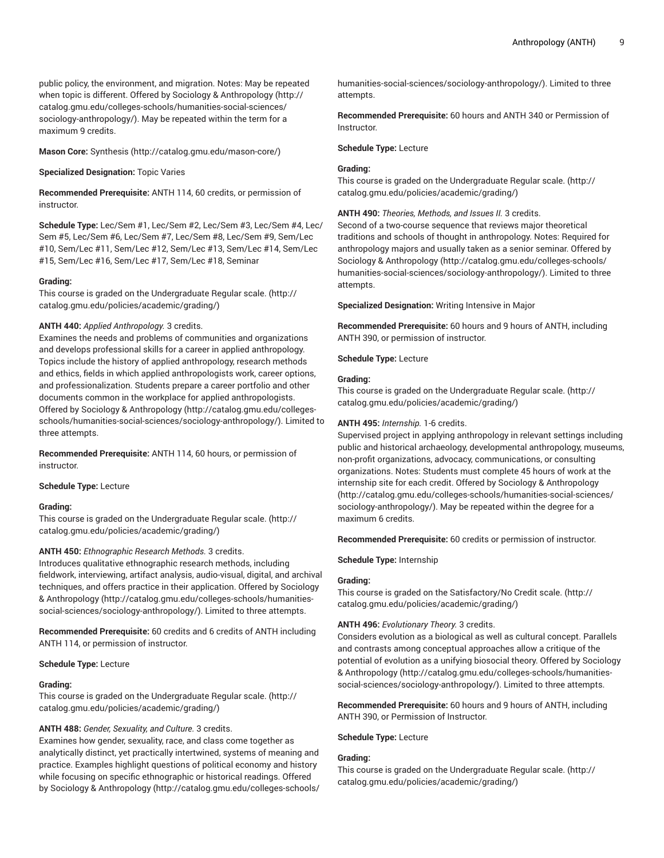public policy, the environment, and migration. Notes: May be repeated when topic is different. Offered by Sociology & [Anthropology](http://catalog.gmu.edu/colleges-schools/humanities-social-sciences/sociology-anthropology/) ([http://](http://catalog.gmu.edu/colleges-schools/humanities-social-sciences/sociology-anthropology/) [catalog.gmu.edu/colleges-schools/humanities-social-sciences/](http://catalog.gmu.edu/colleges-schools/humanities-social-sciences/sociology-anthropology/) [sociology-anthropology/\)](http://catalog.gmu.edu/colleges-schools/humanities-social-sciences/sociology-anthropology/). May be repeated within the term for a maximum 9 credits.

**Mason Core:** [Synthesis \(http://catalog.gmu.edu/mason-core/](http://catalog.gmu.edu/mason-core/))

#### **Specialized Designation:** Topic Varies

**Recommended Prerequisite:** ANTH 114, 60 credits, or permission of instructor.

**Schedule Type:** Lec/Sem #1, Lec/Sem #2, Lec/Sem #3, Lec/Sem #4, Lec/ Sem #5, Lec/Sem #6, Lec/Sem #7, Lec/Sem #8, Lec/Sem #9, Sem/Lec #10, Sem/Lec #11, Sem/Lec #12, Sem/Lec #13, Sem/Lec #14, Sem/Lec #15, Sem/Lec #16, Sem/Lec #17, Sem/Lec #18, Seminar

#### **Grading:**

This course is graded on the [Undergraduate](http://catalog.gmu.edu/policies/academic/grading/) Regular scale. ([http://](http://catalog.gmu.edu/policies/academic/grading/) [catalog.gmu.edu/policies/academic/grading/\)](http://catalog.gmu.edu/policies/academic/grading/)

## **ANTH 440:** *Applied Anthropology.* 3 credits.

Examines the needs and problems of communities and organizations and develops professional skills for a career in applied anthropology. Topics include the history of applied anthropology, research methods and ethics, fields in which applied anthropologists work, career options, and professionalization. Students prepare a career portfolio and other documents common in the workplace for applied anthropologists. Offered by Sociology & [Anthropology \(http://catalog.gmu.edu/colleges](http://catalog.gmu.edu/colleges-schools/humanities-social-sciences/sociology-anthropology/)[schools/humanities-social-sciences/sociology-anthropology/](http://catalog.gmu.edu/colleges-schools/humanities-social-sciences/sociology-anthropology/)). Limited to three attempts.

**Recommended Prerequisite:** ANTH 114, 60 hours, or permission of instructor.

#### **Schedule Type:** Lecture

## **Grading:**

This course is graded on the [Undergraduate](http://catalog.gmu.edu/policies/academic/grading/) Regular scale. ([http://](http://catalog.gmu.edu/policies/academic/grading/) [catalog.gmu.edu/policies/academic/grading/\)](http://catalog.gmu.edu/policies/academic/grading/)

## **ANTH 450:** *Ethnographic Research Methods.* 3 credits.

Introduces qualitative ethnographic research methods, including fieldwork, interviewing, artifact analysis, audio-visual, digital, and archival techniques, and offers practice in their application. Offered by [Sociology](http://catalog.gmu.edu/colleges-schools/humanities-social-sciences/sociology-anthropology/) & [Anthropology](http://catalog.gmu.edu/colleges-schools/humanities-social-sciences/sociology-anthropology/) [\(http://catalog.gmu.edu/colleges-schools/humanities](http://catalog.gmu.edu/colleges-schools/humanities-social-sciences/sociology-anthropology/)[social-sciences/sociology-anthropology/](http://catalog.gmu.edu/colleges-schools/humanities-social-sciences/sociology-anthropology/)). Limited to three attempts.

**Recommended Prerequisite:** 60 credits and 6 credits of ANTH including ANTH 114, or permission of instructor.

#### **Schedule Type:** Lecture

#### **Grading:**

This course is graded on the [Undergraduate](http://catalog.gmu.edu/policies/academic/grading/) Regular scale. ([http://](http://catalog.gmu.edu/policies/academic/grading/) [catalog.gmu.edu/policies/academic/grading/\)](http://catalog.gmu.edu/policies/academic/grading/)

## **ANTH 488:** *Gender, Sexuality, and Culture.* 3 credits.

Examines how gender, sexuality, race, and class come together as analytically distinct, yet practically intertwined, systems of meaning and practice. Examples highlight questions of political economy and history while focusing on specific ethnographic or historical readings. Offered by Sociology & [Anthropology](http://catalog.gmu.edu/colleges-schools/humanities-social-sciences/sociology-anthropology/) ([http://catalog.gmu.edu/colleges-schools/](http://catalog.gmu.edu/colleges-schools/humanities-social-sciences/sociology-anthropology/) [humanities-social-sciences/sociology-anthropology/](http://catalog.gmu.edu/colleges-schools/humanities-social-sciences/sociology-anthropology/)). Limited to three attempts.

**Recommended Prerequisite:** 60 hours and ANTH 340 or Permission of Instructor.

#### **Schedule Type:** Lecture

#### **Grading:**

This course is graded on the [Undergraduate](http://catalog.gmu.edu/policies/academic/grading/) Regular scale. ([http://](http://catalog.gmu.edu/policies/academic/grading/) [catalog.gmu.edu/policies/academic/grading/](http://catalog.gmu.edu/policies/academic/grading/))

#### **ANTH 490:** *Theories, Methods, and Issues II.* 3 credits.

Second of a two-course sequence that reviews major theoretical traditions and schools of thought in anthropology. Notes: Required for anthropology majors and usually taken as a senior seminar. Offered by Sociology & [Anthropology](http://catalog.gmu.edu/colleges-schools/humanities-social-sciences/sociology-anthropology/) ([http://catalog.gmu.edu/colleges-schools/](http://catalog.gmu.edu/colleges-schools/humanities-social-sciences/sociology-anthropology/) [humanities-social-sciences/sociology-anthropology/](http://catalog.gmu.edu/colleges-schools/humanities-social-sciences/sociology-anthropology/)). Limited to three attempts.

**Specialized Designation:** Writing Intensive in Major

**Recommended Prerequisite:** 60 hours and 9 hours of ANTH, including ANTH 390, or permission of instructor.

**Schedule Type:** Lecture

#### **Grading:**

This course is graded on the [Undergraduate](http://catalog.gmu.edu/policies/academic/grading/) Regular scale. ([http://](http://catalog.gmu.edu/policies/academic/grading/) [catalog.gmu.edu/policies/academic/grading/](http://catalog.gmu.edu/policies/academic/grading/))

## **ANTH 495:** *Internship.* 1-6 credits.

Supervised project in applying anthropology in relevant settings including public and historical archaeology, developmental anthropology, museums, non-profit organizations, advocacy, communications, or consulting organizations. Notes: Students must complete 45 hours of work at the internship site for each credit. Offered by Sociology & [Anthropology](http://catalog.gmu.edu/colleges-schools/humanities-social-sciences/sociology-anthropology/) [\(http://catalog.gmu.edu/colleges-schools/humanities-social-sciences/](http://catalog.gmu.edu/colleges-schools/humanities-social-sciences/sociology-anthropology/) [sociology-anthropology/](http://catalog.gmu.edu/colleges-schools/humanities-social-sciences/sociology-anthropology/)). May be repeated within the degree for a maximum 6 credits.

**Recommended Prerequisite:** 60 credits or permission of instructor.

**Schedule Type:** Internship

#### **Grading:**

This course is graded on the [Satisfactory/No](http://catalog.gmu.edu/policies/academic/grading/) Credit scale. [\(http://](http://catalog.gmu.edu/policies/academic/grading/) [catalog.gmu.edu/policies/academic/grading/](http://catalog.gmu.edu/policies/academic/grading/))

#### **ANTH 496:** *Evolutionary Theory.* 3 credits.

Considers evolution as a biological as well as cultural concept. Parallels and contrasts among conceptual approaches allow a critique of the potential of evolution as a unifying biosocial theory. Offered by [Sociology](http://catalog.gmu.edu/colleges-schools/humanities-social-sciences/sociology-anthropology/) & [Anthropology \(http://catalog.gmu.edu/colleges-schools/humanities](http://catalog.gmu.edu/colleges-schools/humanities-social-sciences/sociology-anthropology/)[social-sciences/sociology-anthropology/\)](http://catalog.gmu.edu/colleges-schools/humanities-social-sciences/sociology-anthropology/). Limited to three attempts.

**Recommended Prerequisite:** 60 hours and 9 hours of ANTH, including ANTH 390, or Permission of Instructor.

#### **Schedule Type:** Lecture

## **Grading:**

This course is graded on the [Undergraduate](http://catalog.gmu.edu/policies/academic/grading/) Regular scale. ([http://](http://catalog.gmu.edu/policies/academic/grading/) [catalog.gmu.edu/policies/academic/grading/](http://catalog.gmu.edu/policies/academic/grading/))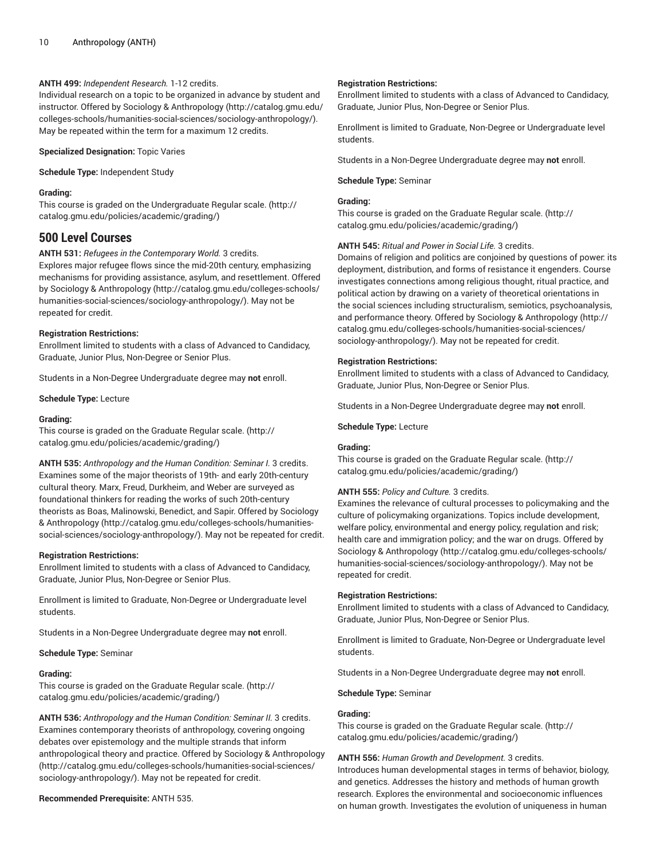## **ANTH 499:** *Independent Research.* 1-12 credits.

Individual research on a topic to be organized in advance by student and instructor. Offered by Sociology & [Anthropology](http://catalog.gmu.edu/colleges-schools/humanities-social-sciences/sociology-anthropology/) ([http://catalog.gmu.edu/](http://catalog.gmu.edu/colleges-schools/humanities-social-sciences/sociology-anthropology/) [colleges-schools/humanities-social-sciences/sociology-anthropology/\)](http://catalog.gmu.edu/colleges-schools/humanities-social-sciences/sociology-anthropology/). May be repeated within the term for a maximum 12 credits.

**Specialized Designation:** Topic Varies

**Schedule Type:** Independent Study

## **Grading:**

This course is graded on the [Undergraduate](http://catalog.gmu.edu/policies/academic/grading/) Regular scale. ([http://](http://catalog.gmu.edu/policies/academic/grading/) [catalog.gmu.edu/policies/academic/grading/\)](http://catalog.gmu.edu/policies/academic/grading/)

# **500 Level Courses**

**ANTH 531:** *Refugees in the Contemporary World.* 3 credits. Explores major refugee flows since the mid-20th century, emphasizing mechanisms for providing assistance, asylum, and resettlement. Offered by Sociology & [Anthropology](http://catalog.gmu.edu/colleges-schools/humanities-social-sciences/sociology-anthropology/) ([http://catalog.gmu.edu/colleges-schools/](http://catalog.gmu.edu/colleges-schools/humanities-social-sciences/sociology-anthropology/) [humanities-social-sciences/sociology-anthropology/\)](http://catalog.gmu.edu/colleges-schools/humanities-social-sciences/sociology-anthropology/). May not be repeated for credit.

## **Registration Restrictions:**

Enrollment limited to students with a class of Advanced to Candidacy, Graduate, Junior Plus, Non-Degree or Senior Plus.

Students in a Non-Degree Undergraduate degree may **not** enroll.

**Schedule Type:** Lecture

## **Grading:**

This course is graded on the [Graduate Regular scale.](http://catalog.gmu.edu/policies/academic/grading/) [\(http://](http://catalog.gmu.edu/policies/academic/grading/) [catalog.gmu.edu/policies/academic/grading/\)](http://catalog.gmu.edu/policies/academic/grading/)

**ANTH 535:** *Anthropology and the Human Condition: Seminar I.* 3 credits. Examines some of the major theorists of 19th- and early 20th-century cultural theory. Marx, Freud, Durkheim, and Weber are surveyed as foundational thinkers for reading the works of such 20th-century theorists as Boas, Malinowski, Benedict, and Sapir. Offered by [Sociology](http://catalog.gmu.edu/colleges-schools/humanities-social-sciences/sociology-anthropology/) & [Anthropology](http://catalog.gmu.edu/colleges-schools/humanities-social-sciences/sociology-anthropology/) [\(http://catalog.gmu.edu/colleges-schools/humanities](http://catalog.gmu.edu/colleges-schools/humanities-social-sciences/sociology-anthropology/)[social-sciences/sociology-anthropology/](http://catalog.gmu.edu/colleges-schools/humanities-social-sciences/sociology-anthropology/)). May not be repeated for credit.

## **Registration Restrictions:**

Enrollment limited to students with a class of Advanced to Candidacy, Graduate, Junior Plus, Non-Degree or Senior Plus.

Enrollment is limited to Graduate, Non-Degree or Undergraduate level students.

Students in a Non-Degree Undergraduate degree may **not** enroll.

**Schedule Type:** Seminar

## **Grading:**

This course is graded on the [Graduate Regular scale.](http://catalog.gmu.edu/policies/academic/grading/) [\(http://](http://catalog.gmu.edu/policies/academic/grading/) [catalog.gmu.edu/policies/academic/grading/\)](http://catalog.gmu.edu/policies/academic/grading/)

**ANTH 536:** *Anthropology and the Human Condition: Seminar II.* 3 credits. Examines contemporary theorists of anthropology, covering ongoing debates over epistemology and the multiple strands that inform anthropological theory and practice. Offered by Sociology & [Anthropology](http://catalog.gmu.edu/colleges-schools/humanities-social-sciences/sociology-anthropology/) ([http://catalog.gmu.edu/colleges-schools/humanities-social-sciences/](http://catalog.gmu.edu/colleges-schools/humanities-social-sciences/sociology-anthropology/) [sociology-anthropology/\)](http://catalog.gmu.edu/colleges-schools/humanities-social-sciences/sociology-anthropology/). May not be repeated for credit.

## **Recommended Prerequisite:** ANTH 535.

## **Registration Restrictions:**

Enrollment limited to students with a class of Advanced to Candidacy, Graduate, Junior Plus, Non-Degree or Senior Plus.

Enrollment is limited to Graduate, Non-Degree or Undergraduate level students.

Students in a Non-Degree Undergraduate degree may **not** enroll.

**Schedule Type:** Seminar

## **Grading:**

This course is graded on the [Graduate Regular scale.](http://catalog.gmu.edu/policies/academic/grading/) ([http://](http://catalog.gmu.edu/policies/academic/grading/) [catalog.gmu.edu/policies/academic/grading/](http://catalog.gmu.edu/policies/academic/grading/))

## **ANTH 545:** *Ritual and Power in Social Life.* 3 credits.

Domains of religion and politics are conjoined by questions of power: its deployment, distribution, and forms of resistance it engenders. Course investigates connections among religious thought, ritual practice, and political action by drawing on a variety of theoretical orientations in the social sciences including structuralism, semiotics, psychoanalysis, and performance theory. Offered by Sociology & [Anthropology](http://catalog.gmu.edu/colleges-schools/humanities-social-sciences/sociology-anthropology/) ([http://](http://catalog.gmu.edu/colleges-schools/humanities-social-sciences/sociology-anthropology/) [catalog.gmu.edu/colleges-schools/humanities-social-sciences/](http://catalog.gmu.edu/colleges-schools/humanities-social-sciences/sociology-anthropology/) [sociology-anthropology/](http://catalog.gmu.edu/colleges-schools/humanities-social-sciences/sociology-anthropology/)). May not be repeated for credit.

#### **Registration Restrictions:**

Enrollment limited to students with a class of Advanced to Candidacy, Graduate, Junior Plus, Non-Degree or Senior Plus.

Students in a Non-Degree Undergraduate degree may **not** enroll.

**Schedule Type:** Lecture

## **Grading:**

This course is graded on the [Graduate Regular scale.](http://catalog.gmu.edu/policies/academic/grading/) ([http://](http://catalog.gmu.edu/policies/academic/grading/) [catalog.gmu.edu/policies/academic/grading/](http://catalog.gmu.edu/policies/academic/grading/))

## **ANTH 555:** *Policy and Culture.* 3 credits.

Examines the relevance of cultural processes to policymaking and the culture of policymaking organizations. Topics include development, welfare policy, environmental and energy policy, regulation and risk; health care and immigration policy; and the war on drugs. Offered by Sociology & [Anthropology](http://catalog.gmu.edu/colleges-schools/humanities-social-sciences/sociology-anthropology/) ([http://catalog.gmu.edu/colleges-schools/](http://catalog.gmu.edu/colleges-schools/humanities-social-sciences/sociology-anthropology/) [humanities-social-sciences/sociology-anthropology/](http://catalog.gmu.edu/colleges-schools/humanities-social-sciences/sociology-anthropology/)). May not be repeated for credit.

## **Registration Restrictions:**

Enrollment limited to students with a class of Advanced to Candidacy, Graduate, Junior Plus, Non-Degree or Senior Plus.

Enrollment is limited to Graduate, Non-Degree or Undergraduate level students.

Students in a Non-Degree Undergraduate degree may **not** enroll.

**Schedule Type:** Seminar

#### **Grading:**

This course is graded on the [Graduate Regular scale.](http://catalog.gmu.edu/policies/academic/grading/) ([http://](http://catalog.gmu.edu/policies/academic/grading/) [catalog.gmu.edu/policies/academic/grading/](http://catalog.gmu.edu/policies/academic/grading/))

**ANTH 556:** *Human Growth and Development.* 3 credits.

Introduces human developmental stages in terms of behavior, biology, and genetics. Addresses the history and methods of human growth research. Explores the environmental and socioeconomic influences on human growth. Investigates the evolution of uniqueness in human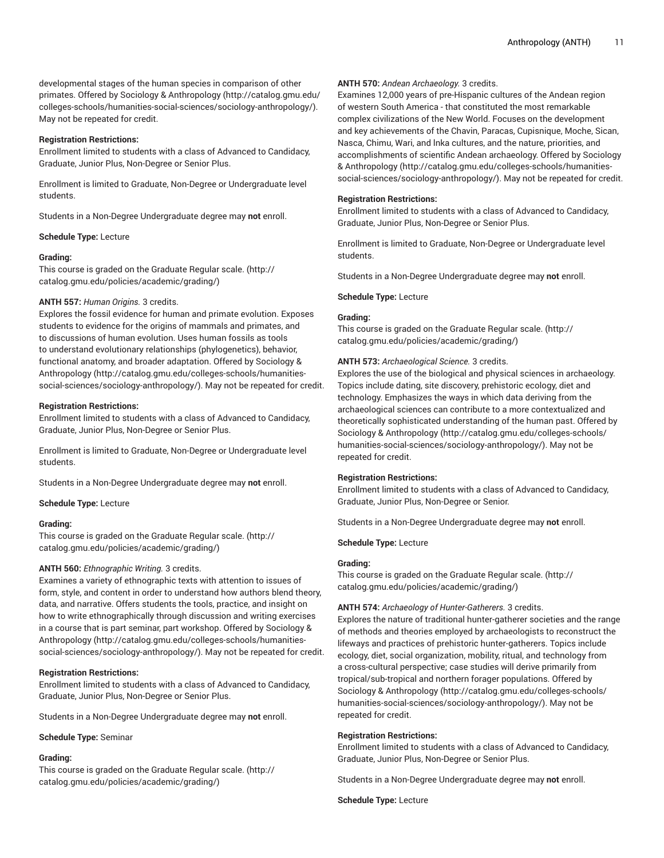developmental stages of the human species in comparison of other primates. Offered by Sociology & [Anthropology \(http://catalog.gmu.edu/](http://catalog.gmu.edu/colleges-schools/humanities-social-sciences/sociology-anthropology/) [colleges-schools/humanities-social-sciences/sociology-anthropology/\)](http://catalog.gmu.edu/colleges-schools/humanities-social-sciences/sociology-anthropology/). May not be repeated for credit.

## **Registration Restrictions:**

Enrollment limited to students with a class of Advanced to Candidacy, Graduate, Junior Plus, Non-Degree or Senior Plus.

Enrollment is limited to Graduate, Non-Degree or Undergraduate level students.

Students in a Non-Degree Undergraduate degree may **not** enroll.

## **Schedule Type:** Lecture

#### **Grading:**

This course is graded on the [Graduate Regular scale.](http://catalog.gmu.edu/policies/academic/grading/) [\(http://](http://catalog.gmu.edu/policies/academic/grading/) [catalog.gmu.edu/policies/academic/grading/\)](http://catalog.gmu.edu/policies/academic/grading/)

#### **ANTH 557:** *Human Origins.* 3 credits.

Explores the fossil evidence for human and primate evolution. Exposes students to evidence for the origins of mammals and primates, and to discussions of human evolution. Uses human fossils as tools to understand evolutionary relationships (phylogenetics), behavior, functional anatomy, and broader adaptation. Offered by [Sociology &](http://catalog.gmu.edu/colleges-schools/humanities-social-sciences/sociology-anthropology/) [Anthropology](http://catalog.gmu.edu/colleges-schools/humanities-social-sciences/sociology-anthropology/) [\(http://catalog.gmu.edu/colleges-schools/humanities](http://catalog.gmu.edu/colleges-schools/humanities-social-sciences/sociology-anthropology/)[social-sciences/sociology-anthropology/](http://catalog.gmu.edu/colleges-schools/humanities-social-sciences/sociology-anthropology/)). May not be repeated for credit.

#### **Registration Restrictions:**

Enrollment limited to students with a class of Advanced to Candidacy, Graduate, Junior Plus, Non-Degree or Senior Plus.

Enrollment is limited to Graduate, Non-Degree or Undergraduate level students.

Students in a Non-Degree Undergraduate degree may **not** enroll.

**Schedule Type:** Lecture

#### **Grading:**

This course is graded on the [Graduate Regular scale.](http://catalog.gmu.edu/policies/academic/grading/) [\(http://](http://catalog.gmu.edu/policies/academic/grading/) [catalog.gmu.edu/policies/academic/grading/\)](http://catalog.gmu.edu/policies/academic/grading/)

#### **ANTH 560:** *Ethnographic Writing.* 3 credits.

Examines a variety of ethnographic texts with attention to issues of form, style, and content in order to understand how authors blend theory, data, and narrative. Offers students the tools, practice, and insight on how to write ethnographically through discussion and writing exercises in a course that is part seminar, part workshop. Offered by [Sociology &](http://catalog.gmu.edu/colleges-schools/humanities-social-sciences/sociology-anthropology/) [Anthropology](http://catalog.gmu.edu/colleges-schools/humanities-social-sciences/sociology-anthropology/) [\(http://catalog.gmu.edu/colleges-schools/humanities](http://catalog.gmu.edu/colleges-schools/humanities-social-sciences/sociology-anthropology/)[social-sciences/sociology-anthropology/](http://catalog.gmu.edu/colleges-schools/humanities-social-sciences/sociology-anthropology/)). May not be repeated for credit.

## **Registration Restrictions:**

Enrollment limited to students with a class of Advanced to Candidacy, Graduate, Junior Plus, Non-Degree or Senior Plus.

Students in a Non-Degree Undergraduate degree may **not** enroll.

**Schedule Type:** Seminar

## **Grading:**

This course is graded on the [Graduate Regular scale.](http://catalog.gmu.edu/policies/academic/grading/) [\(http://](http://catalog.gmu.edu/policies/academic/grading/) [catalog.gmu.edu/policies/academic/grading/\)](http://catalog.gmu.edu/policies/academic/grading/)

#### **ANTH 570:** *Andean Archaeology.* 3 credits.

Examines 12,000 years of pre-Hispanic cultures of the Andean region of western South America - that constituted the most remarkable complex civilizations of the New World. Focuses on the development and key achievements of the Chavin, Paracas, Cupisnique, Moche, Sican, Nasca, Chimu, Wari, and lnka cultures, and the nature, priorities, and accomplishments of scientific Andean archaeology. Offered by [Sociology](http://catalog.gmu.edu/colleges-schools/humanities-social-sciences/sociology-anthropology/) & [Anthropology \(http://catalog.gmu.edu/colleges-schools/humanities](http://catalog.gmu.edu/colleges-schools/humanities-social-sciences/sociology-anthropology/)[social-sciences/sociology-anthropology/\)](http://catalog.gmu.edu/colleges-schools/humanities-social-sciences/sociology-anthropology/). May not be repeated for credit.

## **Registration Restrictions:**

Enrollment limited to students with a class of Advanced to Candidacy, Graduate, Junior Plus, Non-Degree or Senior Plus.

Enrollment is limited to Graduate, Non-Degree or Undergraduate level students.

Students in a Non-Degree Undergraduate degree may **not** enroll.

#### **Schedule Type:** Lecture

#### **Grading:**

This course is graded on the [Graduate Regular scale.](http://catalog.gmu.edu/policies/academic/grading/) ([http://](http://catalog.gmu.edu/policies/academic/grading/) [catalog.gmu.edu/policies/academic/grading/](http://catalog.gmu.edu/policies/academic/grading/))

#### **ANTH 573:** *Archaeological Science.* 3 credits.

Explores the use of the biological and physical sciences in archaeology. Topics include dating, site discovery, prehistoric ecology, diet and technology. Emphasizes the ways in which data deriving from the archaeological sciences can contribute to a more contextualized and theoretically sophisticated understanding of the human past. Offered by Sociology & [Anthropology](http://catalog.gmu.edu/colleges-schools/humanities-social-sciences/sociology-anthropology/) ([http://catalog.gmu.edu/colleges-schools/](http://catalog.gmu.edu/colleges-schools/humanities-social-sciences/sociology-anthropology/) [humanities-social-sciences/sociology-anthropology/](http://catalog.gmu.edu/colleges-schools/humanities-social-sciences/sociology-anthropology/)). May not be repeated for credit.

#### **Registration Restrictions:**

Enrollment limited to students with a class of Advanced to Candidacy, Graduate, Junior Plus, Non-Degree or Senior.

Students in a Non-Degree Undergraduate degree may **not** enroll.

#### **Schedule Type:** Lecture

#### **Grading:**

This course is graded on the [Graduate Regular scale.](http://catalog.gmu.edu/policies/academic/grading/) ([http://](http://catalog.gmu.edu/policies/academic/grading/) [catalog.gmu.edu/policies/academic/grading/](http://catalog.gmu.edu/policies/academic/grading/))

## **ANTH 574:** *Archaeology of Hunter-Gatherers.* 3 credits.

Explores the nature of traditional hunter-gatherer societies and the range of methods and theories employed by archaeologists to reconstruct the lifeways and practices of prehistoric hunter-gatherers. Topics include ecology, diet, social organization, mobility, ritual, and technology from a cross-cultural perspective; case studies will derive primarily from tropical/sub-tropical and northern forager populations. Offered by Sociology & [Anthropology](http://catalog.gmu.edu/colleges-schools/humanities-social-sciences/sociology-anthropology/) ([http://catalog.gmu.edu/colleges-schools/](http://catalog.gmu.edu/colleges-schools/humanities-social-sciences/sociology-anthropology/) [humanities-social-sciences/sociology-anthropology/](http://catalog.gmu.edu/colleges-schools/humanities-social-sciences/sociology-anthropology/)). May not be repeated for credit.

#### **Registration Restrictions:**

Enrollment limited to students with a class of Advanced to Candidacy, Graduate, Junior Plus, Non-Degree or Senior Plus.

Students in a Non-Degree Undergraduate degree may **not** enroll.

**Schedule Type:** Lecture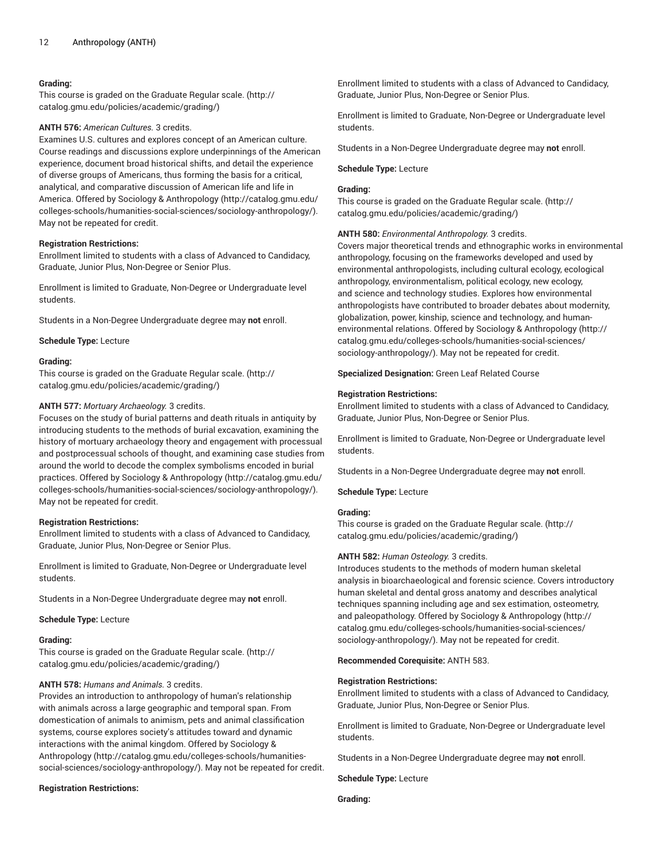## **Grading:**

This course is graded on the [Graduate Regular scale.](http://catalog.gmu.edu/policies/academic/grading/) [\(http://](http://catalog.gmu.edu/policies/academic/grading/) [catalog.gmu.edu/policies/academic/grading/\)](http://catalog.gmu.edu/policies/academic/grading/)

## **ANTH 576:** *American Cultures.* 3 credits.

Examines U.S. cultures and explores concept of an American culture. Course readings and discussions explore underpinnings of the American experience, document broad historical shifts, and detail the experience of diverse groups of Americans, thus forming the basis for a critical, analytical, and comparative discussion of American life and life in America. Offered by Sociology & [Anthropology \(http://catalog.gmu.edu/](http://catalog.gmu.edu/colleges-schools/humanities-social-sciences/sociology-anthropology/) [colleges-schools/humanities-social-sciences/sociology-anthropology/\)](http://catalog.gmu.edu/colleges-schools/humanities-social-sciences/sociology-anthropology/). May not be repeated for credit.

#### **Registration Restrictions:**

Enrollment limited to students with a class of Advanced to Candidacy, Graduate, Junior Plus, Non-Degree or Senior Plus.

Enrollment is limited to Graduate, Non-Degree or Undergraduate level students.

Students in a Non-Degree Undergraduate degree may **not** enroll.

**Schedule Type:** Lecture

#### **Grading:**

This course is graded on the [Graduate Regular scale.](http://catalog.gmu.edu/policies/academic/grading/) [\(http://](http://catalog.gmu.edu/policies/academic/grading/) [catalog.gmu.edu/policies/academic/grading/\)](http://catalog.gmu.edu/policies/academic/grading/)

## **ANTH 577:** *Mortuary Archaeology.* 3 credits.

Focuses on the study of burial patterns and death rituals in antiquity by introducing students to the methods of burial excavation, examining the history of mortuary archaeology theory and engagement with processual and postprocessual schools of thought, and examining case studies from around the world to decode the complex symbolisms encoded in burial practices. Offered by Sociology & [Anthropology](http://catalog.gmu.edu/colleges-schools/humanities-social-sciences/sociology-anthropology/) ([http://catalog.gmu.edu/](http://catalog.gmu.edu/colleges-schools/humanities-social-sciences/sociology-anthropology/) [colleges-schools/humanities-social-sciences/sociology-anthropology/\)](http://catalog.gmu.edu/colleges-schools/humanities-social-sciences/sociology-anthropology/). May not be repeated for credit.

#### **Registration Restrictions:**

Enrollment limited to students with a class of Advanced to Candidacy, Graduate, Junior Plus, Non-Degree or Senior Plus.

Enrollment is limited to Graduate, Non-Degree or Undergraduate level students.

Students in a Non-Degree Undergraduate degree may **not** enroll.

**Schedule Type:** Lecture

#### **Grading:**

This course is graded on the [Graduate Regular scale.](http://catalog.gmu.edu/policies/academic/grading/) [\(http://](http://catalog.gmu.edu/policies/academic/grading/) [catalog.gmu.edu/policies/academic/grading/\)](http://catalog.gmu.edu/policies/academic/grading/)

## **ANTH 578:** *Humans and Animals.* 3 credits.

Provides an introduction to anthropology of human's relationship with animals across a large geographic and temporal span. From domestication of animals to animism, pets and animal classification systems, course explores society's attitudes toward and dynamic interactions with the animal kingdom. Offered by [Sociology &](http://catalog.gmu.edu/colleges-schools/humanities-social-sciences/sociology-anthropology/) [Anthropology](http://catalog.gmu.edu/colleges-schools/humanities-social-sciences/sociology-anthropology/) [\(http://catalog.gmu.edu/colleges-schools/humanities](http://catalog.gmu.edu/colleges-schools/humanities-social-sciences/sociology-anthropology/)[social-sciences/sociology-anthropology/](http://catalog.gmu.edu/colleges-schools/humanities-social-sciences/sociology-anthropology/)). May not be repeated for credit.

#### **Registration Restrictions:**

Enrollment limited to students with a class of Advanced to Candidacy, Graduate, Junior Plus, Non-Degree or Senior Plus.

Enrollment is limited to Graduate, Non-Degree or Undergraduate level students.

Students in a Non-Degree Undergraduate degree may **not** enroll.

#### **Schedule Type:** Lecture

## **Grading:**

This course is graded on the [Graduate Regular scale.](http://catalog.gmu.edu/policies/academic/grading/) ([http://](http://catalog.gmu.edu/policies/academic/grading/) [catalog.gmu.edu/policies/academic/grading/](http://catalog.gmu.edu/policies/academic/grading/))

#### **ANTH 580:** *Environmental Anthropology.* 3 credits.

Covers major theoretical trends and ethnographic works in environmental anthropology, focusing on the frameworks developed and used by environmental anthropologists, including cultural ecology, ecological anthropology, environmentalism, political ecology, new ecology, and science and technology studies. Explores how environmental anthropologists have contributed to broader debates about modernity, globalization, power, kinship, science and technology, and humanenvironmental relations. Offered by Sociology & [Anthropology](http://catalog.gmu.edu/colleges-schools/humanities-social-sciences/sociology-anthropology/) ([http://](http://catalog.gmu.edu/colleges-schools/humanities-social-sciences/sociology-anthropology/) [catalog.gmu.edu/colleges-schools/humanities-social-sciences/](http://catalog.gmu.edu/colleges-schools/humanities-social-sciences/sociology-anthropology/) [sociology-anthropology/](http://catalog.gmu.edu/colleges-schools/humanities-social-sciences/sociology-anthropology/)). May not be repeated for credit.

#### **Specialized Designation:** Green Leaf Related Course

#### **Registration Restrictions:**

Enrollment limited to students with a class of Advanced to Candidacy, Graduate, Junior Plus, Non-Degree or Senior Plus.

Enrollment is limited to Graduate, Non-Degree or Undergraduate level students.

Students in a Non-Degree Undergraduate degree may **not** enroll.

**Schedule Type:** Lecture

## **Grading:**

This course is graded on the [Graduate Regular scale.](http://catalog.gmu.edu/policies/academic/grading/) ([http://](http://catalog.gmu.edu/policies/academic/grading/) [catalog.gmu.edu/policies/academic/grading/](http://catalog.gmu.edu/policies/academic/grading/))

#### **ANTH 582:** *Human Osteology.* 3 credits.

Introduces students to the methods of modern human skeletal analysis in bioarchaeological and forensic science. Covers introductory human skeletal and dental gross anatomy and describes analytical techniques spanning including age and sex estimation, osteometry, and paleopathology. Offered by Sociology & [Anthropology \(http://](http://catalog.gmu.edu/colleges-schools/humanities-social-sciences/sociology-anthropology/) [catalog.gmu.edu/colleges-schools/humanities-social-sciences/](http://catalog.gmu.edu/colleges-schools/humanities-social-sciences/sociology-anthropology/) [sociology-anthropology/](http://catalog.gmu.edu/colleges-schools/humanities-social-sciences/sociology-anthropology/)). May not be repeated for credit.

**Recommended Corequisite:** ANTH 583.

#### **Registration Restrictions:**

Enrollment limited to students with a class of Advanced to Candidacy, Graduate, Junior Plus, Non-Degree or Senior Plus.

Enrollment is limited to Graduate, Non-Degree or Undergraduate level students.

Students in a Non-Degree Undergraduate degree may **not** enroll.

**Schedule Type:** Lecture

**Grading:**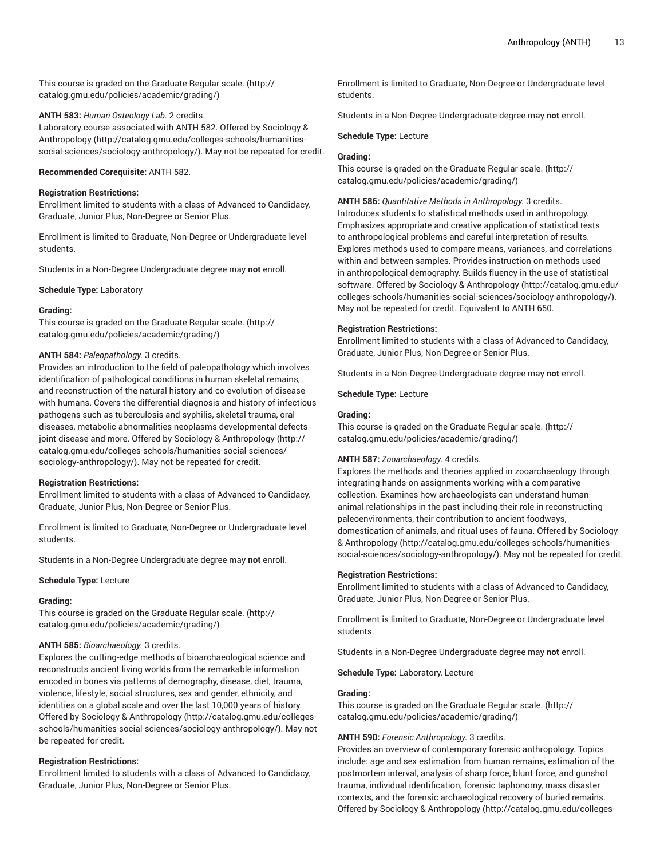This course is graded on the [Graduate Regular scale.](http://catalog.gmu.edu/policies/academic/grading/) [\(http://](http://catalog.gmu.edu/policies/academic/grading/) [catalog.gmu.edu/policies/academic/grading/\)](http://catalog.gmu.edu/policies/academic/grading/)

#### **ANTH 583:** *Human Osteology Lab.* 2 credits.

Laboratory course associated with ANTH 582. Offered by [Sociology &](http://catalog.gmu.edu/colleges-schools/humanities-social-sciences/sociology-anthropology/) [Anthropology](http://catalog.gmu.edu/colleges-schools/humanities-social-sciences/sociology-anthropology/) [\(http://catalog.gmu.edu/colleges-schools/humanities](http://catalog.gmu.edu/colleges-schools/humanities-social-sciences/sociology-anthropology/)[social-sciences/sociology-anthropology/](http://catalog.gmu.edu/colleges-schools/humanities-social-sciences/sociology-anthropology/)). May not be repeated for credit.

## **Recommended Corequisite:** ANTH 582.

#### **Registration Restrictions:**

Enrollment limited to students with a class of Advanced to Candidacy, Graduate, Junior Plus, Non-Degree or Senior Plus.

Enrollment is limited to Graduate, Non-Degree or Undergraduate level students.

Students in a Non-Degree Undergraduate degree may **not** enroll.

**Schedule Type:** Laboratory

#### **Grading:**

This course is graded on the [Graduate Regular scale.](http://catalog.gmu.edu/policies/academic/grading/) [\(http://](http://catalog.gmu.edu/policies/academic/grading/) [catalog.gmu.edu/policies/academic/grading/\)](http://catalog.gmu.edu/policies/academic/grading/)

#### **ANTH 584:** *Paleopathology.* 3 credits.

Provides an introduction to the field of paleopathology which involves identification of pathological conditions in human skeletal remains, and reconstruction of the natural history and co-evolution of disease with humans. Covers the differential diagnosis and history of infectious pathogens such as tuberculosis and syphilis, skeletal trauma, oral diseases, metabolic abnormalities neoplasms developmental defects joint disease and more. Offered by Sociology & [Anthropology](http://catalog.gmu.edu/colleges-schools/humanities-social-sciences/sociology-anthropology/) [\(http://](http://catalog.gmu.edu/colleges-schools/humanities-social-sciences/sociology-anthropology/) [catalog.gmu.edu/colleges-schools/humanities-social-sciences/](http://catalog.gmu.edu/colleges-schools/humanities-social-sciences/sociology-anthropology/) [sociology-anthropology/\)](http://catalog.gmu.edu/colleges-schools/humanities-social-sciences/sociology-anthropology/). May not be repeated for credit.

## **Registration Restrictions:**

Enrollment limited to students with a class of Advanced to Candidacy, Graduate, Junior Plus, Non-Degree or Senior Plus.

Enrollment is limited to Graduate, Non-Degree or Undergraduate level students.

Students in a Non-Degree Undergraduate degree may **not** enroll.

#### **Schedule Type:** Lecture

## **Grading:**

This course is graded on the [Graduate Regular scale.](http://catalog.gmu.edu/policies/academic/grading/) [\(http://](http://catalog.gmu.edu/policies/academic/grading/) [catalog.gmu.edu/policies/academic/grading/\)](http://catalog.gmu.edu/policies/academic/grading/)

## **ANTH 585:** *Bioarchaeology.* 3 credits.

Explores the cutting-edge methods of bioarchaeological science and reconstructs ancient living worlds from the remarkable information encoded in bones via patterns of demography, disease, diet, trauma, violence, lifestyle, social structures, sex and gender, ethnicity, and identities on a global scale and over the last 10,000 years of history. Offered by Sociology & [Anthropology \(http://catalog.gmu.edu/colleges](http://catalog.gmu.edu/colleges-schools/humanities-social-sciences/sociology-anthropology/)[schools/humanities-social-sciences/sociology-anthropology/](http://catalog.gmu.edu/colleges-schools/humanities-social-sciences/sociology-anthropology/)). May not be repeated for credit.

## **Registration Restrictions:**

Enrollment limited to students with a class of Advanced to Candidacy, Graduate, Junior Plus, Non-Degree or Senior Plus.

Enrollment is limited to Graduate, Non-Degree or Undergraduate level students.

Students in a Non-Degree Undergraduate degree may **not** enroll.

**Schedule Type:** Lecture

## **Grading:**

This course is graded on the [Graduate Regular scale.](http://catalog.gmu.edu/policies/academic/grading/) ([http://](http://catalog.gmu.edu/policies/academic/grading/) [catalog.gmu.edu/policies/academic/grading/](http://catalog.gmu.edu/policies/academic/grading/))

**ANTH 586:** *Quantitative Methods in Anthropology.* 3 credits.

Introduces students to statistical methods used in anthropology. Emphasizes appropriate and creative application of statistical tests to anthropological problems and careful interpretation of results. Explores methods used to compare means, variances, and correlations within and between samples. Provides instruction on methods used in anthropological demography. Builds fluency in the use of statistical software. Offered by Sociology & [Anthropology](http://catalog.gmu.edu/colleges-schools/humanities-social-sciences/sociology-anthropology/) ([http://catalog.gmu.edu/](http://catalog.gmu.edu/colleges-schools/humanities-social-sciences/sociology-anthropology/) [colleges-schools/humanities-social-sciences/sociology-anthropology/\)](http://catalog.gmu.edu/colleges-schools/humanities-social-sciences/sociology-anthropology/). May not be repeated for credit. Equivalent to ANTH 650.

#### **Registration Restrictions:**

Enrollment limited to students with a class of Advanced to Candidacy, Graduate, Junior Plus, Non-Degree or Senior Plus.

Students in a Non-Degree Undergraduate degree may **not** enroll.

**Schedule Type:** Lecture

## **Grading:**

This course is graded on the [Graduate Regular scale.](http://catalog.gmu.edu/policies/academic/grading/) ([http://](http://catalog.gmu.edu/policies/academic/grading/) [catalog.gmu.edu/policies/academic/grading/](http://catalog.gmu.edu/policies/academic/grading/))

## **ANTH 587:** *Zooarchaeology.* 4 credits.

Explores the methods and theories applied in zooarchaeology through integrating hands-on assignments working with a comparative collection. Examines how archaeologists can understand humananimal relationships in the past including their role in reconstructing paleoenvironments, their contribution to ancient foodways, domestication of animals, and ritual uses of fauna. Offered by [Sociology](http://catalog.gmu.edu/colleges-schools/humanities-social-sciences/sociology-anthropology/) & [Anthropology \(http://catalog.gmu.edu/colleges-schools/humanities](http://catalog.gmu.edu/colleges-schools/humanities-social-sciences/sociology-anthropology/)[social-sciences/sociology-anthropology/\)](http://catalog.gmu.edu/colleges-schools/humanities-social-sciences/sociology-anthropology/). May not be repeated for credit.

#### **Registration Restrictions:**

Enrollment limited to students with a class of Advanced to Candidacy, Graduate, Junior Plus, Non-Degree or Senior Plus.

Enrollment is limited to Graduate, Non-Degree or Undergraduate level students.

Students in a Non-Degree Undergraduate degree may **not** enroll.

**Schedule Type:** Laboratory, Lecture

#### **Grading:**

This course is graded on the [Graduate Regular scale.](http://catalog.gmu.edu/policies/academic/grading/) ([http://](http://catalog.gmu.edu/policies/academic/grading/) [catalog.gmu.edu/policies/academic/grading/](http://catalog.gmu.edu/policies/academic/grading/))

## **ANTH 590:** *Forensic Anthropology.* 3 credits.

Provides an overview of contemporary forensic anthropology. Topics include: age and sex estimation from human remains, estimation of the postmortem interval, analysis of sharp force, blunt force, and gunshot trauma, individual identification, forensic taphonomy, mass disaster contexts, and the forensic archaeological recovery of buried remains. Offered by Sociology & [Anthropology](http://catalog.gmu.edu/colleges-schools/humanities-social-sciences/sociology-anthropology/) ([http://catalog.gmu.edu/colleges-](http://catalog.gmu.edu/colleges-schools/humanities-social-sciences/sociology-anthropology/)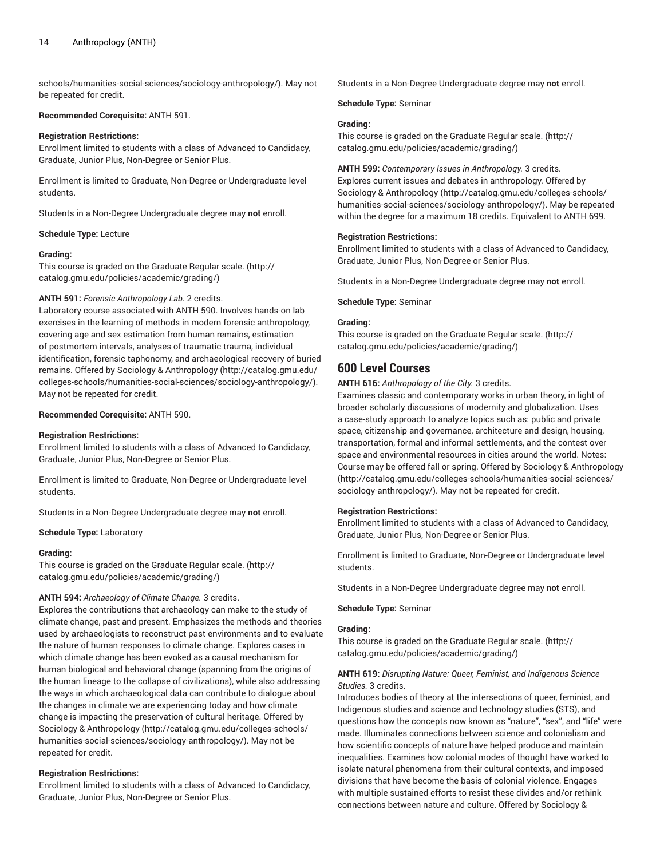[schools/humanities-social-sciences/sociology-anthropology/](http://catalog.gmu.edu/colleges-schools/humanities-social-sciences/sociology-anthropology/)). May not be repeated for credit.

#### **Recommended Corequisite:** ANTH 591.

#### **Registration Restrictions:**

Enrollment limited to students with a class of Advanced to Candidacy, Graduate, Junior Plus, Non-Degree or Senior Plus.

Enrollment is limited to Graduate, Non-Degree or Undergraduate level students.

Students in a Non-Degree Undergraduate degree may **not** enroll.

#### **Schedule Type:** Lecture

#### **Grading:**

This course is graded on the [Graduate Regular scale.](http://catalog.gmu.edu/policies/academic/grading/) [\(http://](http://catalog.gmu.edu/policies/academic/grading/) [catalog.gmu.edu/policies/academic/grading/\)](http://catalog.gmu.edu/policies/academic/grading/)

## **ANTH 591:** *Forensic Anthropology Lab.* 2 credits.

Laboratory course associated with ANTH 590. Involves hands-on lab exercises in the learning of methods in modern forensic anthropology, covering age and sex estimation from human remains, estimation of postmortem intervals, analyses of traumatic trauma, individual identification, forensic taphonomy, and archaeological recovery of buried remains. Offered by Sociology & [Anthropology](http://catalog.gmu.edu/colleges-schools/humanities-social-sciences/sociology-anthropology/) ([http://catalog.gmu.edu/](http://catalog.gmu.edu/colleges-schools/humanities-social-sciences/sociology-anthropology/) [colleges-schools/humanities-social-sciences/sociology-anthropology/\)](http://catalog.gmu.edu/colleges-schools/humanities-social-sciences/sociology-anthropology/). May not be repeated for credit.

#### **Recommended Corequisite:** ANTH 590.

#### **Registration Restrictions:**

Enrollment limited to students with a class of Advanced to Candidacy, Graduate, Junior Plus, Non-Degree or Senior Plus.

Enrollment is limited to Graduate, Non-Degree or Undergraduate level students.

Students in a Non-Degree Undergraduate degree may **not** enroll.

#### **Schedule Type:** Laboratory

#### **Grading:**

This course is graded on the [Graduate Regular scale.](http://catalog.gmu.edu/policies/academic/grading/) [\(http://](http://catalog.gmu.edu/policies/academic/grading/) [catalog.gmu.edu/policies/academic/grading/\)](http://catalog.gmu.edu/policies/academic/grading/)

## **ANTH 594:** *Archaeology of Climate Change.* 3 credits.

Explores the contributions that archaeology can make to the study of climate change, past and present. Emphasizes the methods and theories used by archaeologists to reconstruct past environments and to evaluate the nature of human responses to climate change. Explores cases in which climate change has been evoked as a causal mechanism for human biological and behavioral change (spanning from the origins of the human lineage to the collapse of civilizations), while also addressing the ways in which archaeological data can contribute to dialogue about the changes in climate we are experiencing today and how climate change is impacting the preservation of cultural heritage. Offered by Sociology & [Anthropology \(http://catalog.gmu.edu/colleges-schools/](http://catalog.gmu.edu/colleges-schools/humanities-social-sciences/sociology-anthropology/) [humanities-social-sciences/sociology-anthropology/\)](http://catalog.gmu.edu/colleges-schools/humanities-social-sciences/sociology-anthropology/). May not be repeated for credit.

#### **Registration Restrictions:**

Enrollment limited to students with a class of Advanced to Candidacy, Graduate, Junior Plus, Non-Degree or Senior Plus.

Students in a Non-Degree Undergraduate degree may **not** enroll.

**Schedule Type:** Seminar

## **Grading:**

This course is graded on the [Graduate Regular scale.](http://catalog.gmu.edu/policies/academic/grading/) ([http://](http://catalog.gmu.edu/policies/academic/grading/) [catalog.gmu.edu/policies/academic/grading/](http://catalog.gmu.edu/policies/academic/grading/))

#### **ANTH 599:** *Contemporary Issues in Anthropology.* 3 credits. Explores current issues and debates in anthropology. Offered by

Sociology & [Anthropology](http://catalog.gmu.edu/colleges-schools/humanities-social-sciences/sociology-anthropology/) ([http://catalog.gmu.edu/colleges-schools/](http://catalog.gmu.edu/colleges-schools/humanities-social-sciences/sociology-anthropology/) [humanities-social-sciences/sociology-anthropology/](http://catalog.gmu.edu/colleges-schools/humanities-social-sciences/sociology-anthropology/)). May be repeated within the degree for a maximum 18 credits. Equivalent to ANTH 699.

## **Registration Restrictions:**

Enrollment limited to students with a class of Advanced to Candidacy, Graduate, Junior Plus, Non-Degree or Senior Plus.

Students in a Non-Degree Undergraduate degree may **not** enroll.

#### **Schedule Type:** Seminar

#### **Grading:**

This course is graded on the [Graduate Regular scale.](http://catalog.gmu.edu/policies/academic/grading/) ([http://](http://catalog.gmu.edu/policies/academic/grading/) [catalog.gmu.edu/policies/academic/grading/](http://catalog.gmu.edu/policies/academic/grading/))

## **600 Level Courses**

**ANTH 616:** *Anthropology of the City.* 3 credits.

Examines classic and contemporary works in urban theory, in light of broader scholarly discussions of modernity and globalization. Uses a case-study approach to analyze topics such as: public and private space, citizenship and governance, architecture and design, housing, transportation, formal and informal settlements, and the contest over space and environmental resources in cities around the world. Notes: Course may be offered fall or spring. Offered by Sociology & [Anthropology](http://catalog.gmu.edu/colleges-schools/humanities-social-sciences/sociology-anthropology/) [\(http://catalog.gmu.edu/colleges-schools/humanities-social-sciences/](http://catalog.gmu.edu/colleges-schools/humanities-social-sciences/sociology-anthropology/) [sociology-anthropology/](http://catalog.gmu.edu/colleges-schools/humanities-social-sciences/sociology-anthropology/)). May not be repeated for credit.

#### **Registration Restrictions:**

Enrollment limited to students with a class of Advanced to Candidacy, Graduate, Junior Plus, Non-Degree or Senior Plus.

Enrollment is limited to Graduate, Non-Degree or Undergraduate level students.

Students in a Non-Degree Undergraduate degree may **not** enroll.

**Schedule Type:** Seminar

#### **Grading:**

This course is graded on the [Graduate Regular scale.](http://catalog.gmu.edu/policies/academic/grading/) ([http://](http://catalog.gmu.edu/policies/academic/grading/) [catalog.gmu.edu/policies/academic/grading/](http://catalog.gmu.edu/policies/academic/grading/))

## **ANTH 619:** *Disrupting Nature: Queer, Feminist, and Indigenous Science Studies.* 3 credits.

Introduces bodies of theory at the intersections of queer, feminist, and Indigenous studies and science and technology studies (STS), and questions how the concepts now known as "nature", "sex", and "life" were made. Illuminates connections between science and colonialism and how scientific concepts of nature have helped produce and maintain inequalities. Examines how colonial modes of thought have worked to isolate natural phenomena from their cultural contexts, and imposed divisions that have become the basis of colonial violence. Engages with multiple sustained efforts to resist these divides and/or rethink connections between nature and culture. Offered by [Sociology &](http://catalog.gmu.edu/colleges-schools/humanities-social-sciences/sociology-anthropology/)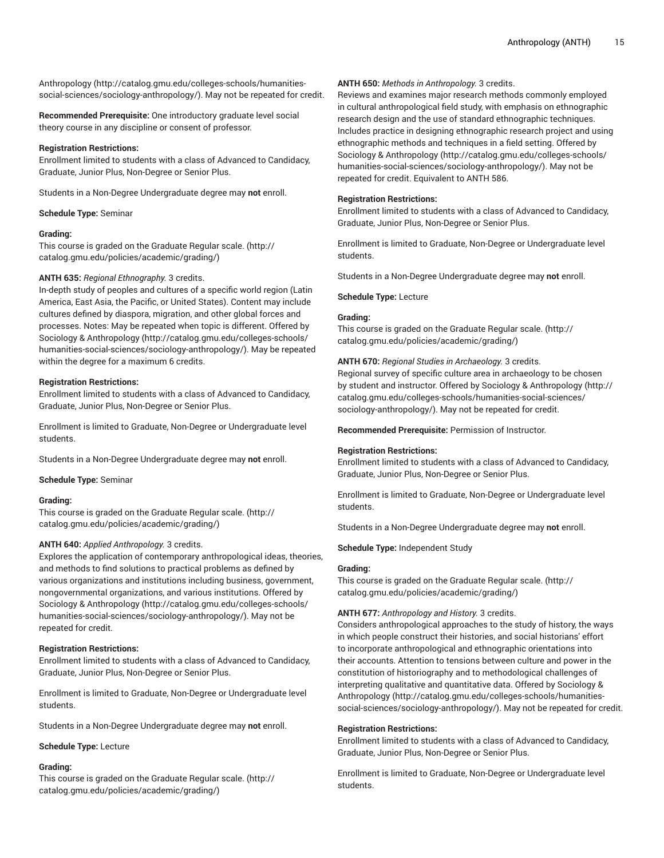[Anthropology](http://catalog.gmu.edu/colleges-schools/humanities-social-sciences/sociology-anthropology/) [\(http://catalog.gmu.edu/colleges-schools/humanities](http://catalog.gmu.edu/colleges-schools/humanities-social-sciences/sociology-anthropology/)[social-sciences/sociology-anthropology/](http://catalog.gmu.edu/colleges-schools/humanities-social-sciences/sociology-anthropology/)). May not be repeated for credit.

**Recommended Prerequisite:** One introductory graduate level social theory course in any discipline or consent of professor.

## **Registration Restrictions:**

Enrollment limited to students with a class of Advanced to Candidacy, Graduate, Junior Plus, Non-Degree or Senior Plus.

Students in a Non-Degree Undergraduate degree may **not** enroll.

**Schedule Type:** Seminar

## **Grading:**

This course is graded on the [Graduate Regular scale.](http://catalog.gmu.edu/policies/academic/grading/) [\(http://](http://catalog.gmu.edu/policies/academic/grading/) [catalog.gmu.edu/policies/academic/grading/\)](http://catalog.gmu.edu/policies/academic/grading/)

## **ANTH 635:** *Regional Ethnography.* 3 credits.

In-depth study of peoples and cultures of a specific world region (Latin America, East Asia, the Pacific, or United States). Content may include cultures defined by diaspora, migration, and other global forces and processes. Notes: May be repeated when topic is different. Offered by Sociology & [Anthropology \(http://catalog.gmu.edu/colleges-schools/](http://catalog.gmu.edu/colleges-schools/humanities-social-sciences/sociology-anthropology/) [humanities-social-sciences/sociology-anthropology/\)](http://catalog.gmu.edu/colleges-schools/humanities-social-sciences/sociology-anthropology/). May be repeated within the degree for a maximum 6 credits.

## **Registration Restrictions:**

Enrollment limited to students with a class of Advanced to Candidacy, Graduate, Junior Plus, Non-Degree or Senior Plus.

Enrollment is limited to Graduate, Non-Degree or Undergraduate level students.

Students in a Non-Degree Undergraduate degree may **not** enroll.

**Schedule Type:** Seminar

## **Grading:**

This course is graded on the [Graduate Regular scale.](http://catalog.gmu.edu/policies/academic/grading/) [\(http://](http://catalog.gmu.edu/policies/academic/grading/) [catalog.gmu.edu/policies/academic/grading/\)](http://catalog.gmu.edu/policies/academic/grading/)

## **ANTH 640:** *Applied Anthropology.* 3 credits.

Explores the application of contemporary anthropological ideas, theories, and methods to find solutions to practical problems as defined by various organizations and institutions including business, government, nongovernmental organizations, and various institutions. Offered by Sociology & [Anthropology \(http://catalog.gmu.edu/colleges-schools/](http://catalog.gmu.edu/colleges-schools/humanities-social-sciences/sociology-anthropology/) [humanities-social-sciences/sociology-anthropology/\)](http://catalog.gmu.edu/colleges-schools/humanities-social-sciences/sociology-anthropology/). May not be repeated for credit.

## **Registration Restrictions:**

Enrollment limited to students with a class of Advanced to Candidacy, Graduate, Junior Plus, Non-Degree or Senior Plus.

Enrollment is limited to Graduate, Non-Degree or Undergraduate level students.

Students in a Non-Degree Undergraduate degree may **not** enroll.

**Schedule Type:** Lecture

## **Grading:**

This course is graded on the [Graduate Regular scale.](http://catalog.gmu.edu/policies/academic/grading/) [\(http://](http://catalog.gmu.edu/policies/academic/grading/) [catalog.gmu.edu/policies/academic/grading/\)](http://catalog.gmu.edu/policies/academic/grading/)

## **ANTH 650:** *Methods in Anthropology.* 3 credits.

Reviews and examines major research methods commonly employed in cultural anthropological field study, with emphasis on ethnographic research design and the use of standard ethnographic techniques. Includes practice in designing ethnographic research project and using ethnographic methods and techniques in a field setting. Offered by Sociology & [Anthropology](http://catalog.gmu.edu/colleges-schools/humanities-social-sciences/sociology-anthropology/) ([http://catalog.gmu.edu/colleges-schools/](http://catalog.gmu.edu/colleges-schools/humanities-social-sciences/sociology-anthropology/) [humanities-social-sciences/sociology-anthropology/](http://catalog.gmu.edu/colleges-schools/humanities-social-sciences/sociology-anthropology/)). May not be repeated for credit. Equivalent to ANTH 586.

## **Registration Restrictions:**

Enrollment limited to students with a class of Advanced to Candidacy, Graduate, Junior Plus, Non-Degree or Senior Plus.

Enrollment is limited to Graduate, Non-Degree or Undergraduate level students.

Students in a Non-Degree Undergraduate degree may **not** enroll.

## **Schedule Type:** Lecture

## **Grading:**

This course is graded on the [Graduate Regular scale.](http://catalog.gmu.edu/policies/academic/grading/) ([http://](http://catalog.gmu.edu/policies/academic/grading/) [catalog.gmu.edu/policies/academic/grading/](http://catalog.gmu.edu/policies/academic/grading/))

## **ANTH 670:** *Regional Studies in Archaeology.* 3 credits.

Regional survey of specific culture area in archaeology to be chosen by student and instructor. Offered by Sociology & [Anthropology](http://catalog.gmu.edu/colleges-schools/humanities-social-sciences/sociology-anthropology/) ([http://](http://catalog.gmu.edu/colleges-schools/humanities-social-sciences/sociology-anthropology/) [catalog.gmu.edu/colleges-schools/humanities-social-sciences/](http://catalog.gmu.edu/colleges-schools/humanities-social-sciences/sociology-anthropology/) [sociology-anthropology/](http://catalog.gmu.edu/colleges-schools/humanities-social-sciences/sociology-anthropology/)). May not be repeated for credit.

**Recommended Prerequisite:** Permission of Instructor.

## **Registration Restrictions:**

Enrollment limited to students with a class of Advanced to Candidacy, Graduate, Junior Plus, Non-Degree or Senior Plus.

Enrollment is limited to Graduate, Non-Degree or Undergraduate level students.

Students in a Non-Degree Undergraduate degree may **not** enroll.

**Schedule Type:** Independent Study

## **Grading:**

This course is graded on the [Graduate Regular scale.](http://catalog.gmu.edu/policies/academic/grading/) ([http://](http://catalog.gmu.edu/policies/academic/grading/) [catalog.gmu.edu/policies/academic/grading/](http://catalog.gmu.edu/policies/academic/grading/))

## **ANTH 677:** *Anthropology and History.* 3 credits.

Considers anthropological approaches to the study of history, the ways in which people construct their histories, and social historians' effort to incorporate anthropological and ethnographic orientations into their accounts. Attention to tensions between culture and power in the constitution of historiography and to methodological challenges of interpreting qualitative and quantitative data. Offered by [Sociology &](http://catalog.gmu.edu/colleges-schools/humanities-social-sciences/sociology-anthropology/) [Anthropology \(http://catalog.gmu.edu/colleges-schools/humanities](http://catalog.gmu.edu/colleges-schools/humanities-social-sciences/sociology-anthropology/)[social-sciences/sociology-anthropology/\)](http://catalog.gmu.edu/colleges-schools/humanities-social-sciences/sociology-anthropology/). May not be repeated for credit.

## **Registration Restrictions:**

Enrollment limited to students with a class of Advanced to Candidacy, Graduate, Junior Plus, Non-Degree or Senior Plus.

Enrollment is limited to Graduate, Non-Degree or Undergraduate level students.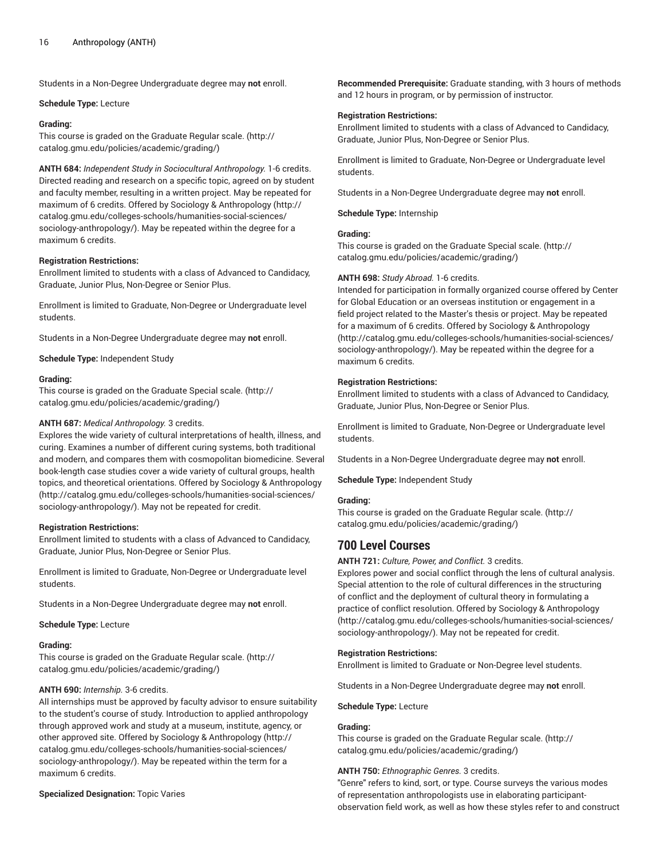Students in a Non-Degree Undergraduate degree may **not** enroll.

#### **Schedule Type:** Lecture

## **Grading:**

This course is graded on the [Graduate Regular scale.](http://catalog.gmu.edu/policies/academic/grading/) [\(http://](http://catalog.gmu.edu/policies/academic/grading/) [catalog.gmu.edu/policies/academic/grading/\)](http://catalog.gmu.edu/policies/academic/grading/)

**ANTH 684:** *Independent Study in Sociocultural Anthropology.* 1-6 credits. Directed reading and research on a specific topic, agreed on by student and faculty member, resulting in a written project. May be repeated for maximum of 6 credits. Offered by Sociology & [Anthropology](http://catalog.gmu.edu/colleges-schools/humanities-social-sciences/sociology-anthropology/) ([http://](http://catalog.gmu.edu/colleges-schools/humanities-social-sciences/sociology-anthropology/) [catalog.gmu.edu/colleges-schools/humanities-social-sciences/](http://catalog.gmu.edu/colleges-schools/humanities-social-sciences/sociology-anthropology/) [sociology-anthropology/\)](http://catalog.gmu.edu/colleges-schools/humanities-social-sciences/sociology-anthropology/). May be repeated within the degree for a maximum 6 credits.

## **Registration Restrictions:**

Enrollment limited to students with a class of Advanced to Candidacy, Graduate, Junior Plus, Non-Degree or Senior Plus.

Enrollment is limited to Graduate, Non-Degree or Undergraduate level students.

Students in a Non-Degree Undergraduate degree may **not** enroll.

**Schedule Type:** Independent Study

#### **Grading:**

This course is graded on the [Graduate Special scale.](http://catalog.gmu.edu/policies/academic/grading/) ([http://](http://catalog.gmu.edu/policies/academic/grading/) [catalog.gmu.edu/policies/academic/grading/\)](http://catalog.gmu.edu/policies/academic/grading/)

## **ANTH 687:** *Medical Anthropology.* 3 credits.

Explores the wide variety of cultural interpretations of health, illness, and curing. Examines a number of different curing systems, both traditional and modern, and compares them with cosmopolitan biomedicine. Several book-length case studies cover a wide variety of cultural groups, health topics, and theoretical orientations. Offered by Sociology & [Anthropology](http://catalog.gmu.edu/colleges-schools/humanities-social-sciences/sociology-anthropology/) ([http://catalog.gmu.edu/colleges-schools/humanities-social-sciences/](http://catalog.gmu.edu/colleges-schools/humanities-social-sciences/sociology-anthropology/) [sociology-anthropology/\)](http://catalog.gmu.edu/colleges-schools/humanities-social-sciences/sociology-anthropology/). May not be repeated for credit.

#### **Registration Restrictions:**

Enrollment limited to students with a class of Advanced to Candidacy, Graduate, Junior Plus, Non-Degree or Senior Plus.

Enrollment is limited to Graduate, Non-Degree or Undergraduate level students.

Students in a Non-Degree Undergraduate degree may **not** enroll.

**Schedule Type:** Lecture

#### **Grading:**

This course is graded on the [Graduate Regular scale.](http://catalog.gmu.edu/policies/academic/grading/) [\(http://](http://catalog.gmu.edu/policies/academic/grading/) [catalog.gmu.edu/policies/academic/grading/\)](http://catalog.gmu.edu/policies/academic/grading/)

## **ANTH 690:** *Internship.* 3-6 credits.

All internships must be approved by faculty advisor to ensure suitability to the student's course of study. Introduction to applied anthropology through approved work and study at a museum, institute, agency, or other approved site. Offered by Sociology & [Anthropology](http://catalog.gmu.edu/colleges-schools/humanities-social-sciences/sociology-anthropology/) ([http://](http://catalog.gmu.edu/colleges-schools/humanities-social-sciences/sociology-anthropology/) [catalog.gmu.edu/colleges-schools/humanities-social-sciences/](http://catalog.gmu.edu/colleges-schools/humanities-social-sciences/sociology-anthropology/) [sociology-anthropology/\)](http://catalog.gmu.edu/colleges-schools/humanities-social-sciences/sociology-anthropology/). May be repeated within the term for a maximum 6 credits.

## **Specialized Designation:** Topic Varies

**Recommended Prerequisite:** Graduate standing, with 3 hours of methods and 12 hours in program, or by permission of instructor.

## **Registration Restrictions:**

Enrollment limited to students with a class of Advanced to Candidacy, Graduate, Junior Plus, Non-Degree or Senior Plus.

Enrollment is limited to Graduate, Non-Degree or Undergraduate level students.

Students in a Non-Degree Undergraduate degree may **not** enroll.

**Schedule Type:** Internship

## **Grading:**

This course is graded on the [Graduate Special scale. \(http://](http://catalog.gmu.edu/policies/academic/grading/) [catalog.gmu.edu/policies/academic/grading/](http://catalog.gmu.edu/policies/academic/grading/))

#### **ANTH 698:** *Study Abroad.* 1-6 credits.

Intended for participation in formally organized course offered by Center for Global Education or an overseas institution or engagement in a field project related to the Master's thesis or project. May be repeated for a maximum of 6 credits. Offered by Sociology & [Anthropology](http://catalog.gmu.edu/colleges-schools/humanities-social-sciences/sociology-anthropology/) [\(http://catalog.gmu.edu/colleges-schools/humanities-social-sciences/](http://catalog.gmu.edu/colleges-schools/humanities-social-sciences/sociology-anthropology/) [sociology-anthropology/](http://catalog.gmu.edu/colleges-schools/humanities-social-sciences/sociology-anthropology/)). May be repeated within the degree for a maximum 6 credits.

## **Registration Restrictions:**

Enrollment limited to students with a class of Advanced to Candidacy, Graduate, Junior Plus, Non-Degree or Senior Plus.

Enrollment is limited to Graduate, Non-Degree or Undergraduate level students.

Students in a Non-Degree Undergraduate degree may **not** enroll.

**Schedule Type:** Independent Study

#### **Grading:**

This course is graded on the [Graduate Regular scale.](http://catalog.gmu.edu/policies/academic/grading/) ([http://](http://catalog.gmu.edu/policies/academic/grading/) [catalog.gmu.edu/policies/academic/grading/](http://catalog.gmu.edu/policies/academic/grading/))

# **700 Level Courses**

**ANTH 721:** *Culture, Power, and Conflict.* 3 credits.

Explores power and social conflict through the lens of cultural analysis. Special attention to the role of cultural differences in the structuring of conflict and the deployment of cultural theory in formulating a practice of conflict resolution. Offered by Sociology & [Anthropology](http://catalog.gmu.edu/colleges-schools/humanities-social-sciences/sociology-anthropology/) [\(http://catalog.gmu.edu/colleges-schools/humanities-social-sciences/](http://catalog.gmu.edu/colleges-schools/humanities-social-sciences/sociology-anthropology/) [sociology-anthropology/](http://catalog.gmu.edu/colleges-schools/humanities-social-sciences/sociology-anthropology/)). May not be repeated for credit.

## **Registration Restrictions:**

Enrollment is limited to Graduate or Non-Degree level students.

Students in a Non-Degree Undergraduate degree may **not** enroll.

**Schedule Type:** Lecture

## **Grading:**

This course is graded on the [Graduate Regular scale.](http://catalog.gmu.edu/policies/academic/grading/) ([http://](http://catalog.gmu.edu/policies/academic/grading/) [catalog.gmu.edu/policies/academic/grading/](http://catalog.gmu.edu/policies/academic/grading/))

#### **ANTH 750:** *Ethnographic Genres.* 3 credits.

"Genre" refers to kind, sort, or type. Course surveys the various modes of representation anthropologists use in elaborating participantobservation field work, as well as how these styles refer to and construct